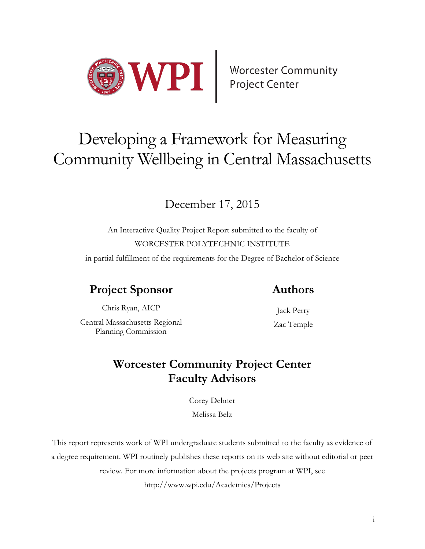

# Developing a Framework for Measuring Community Wellbeing in Central Massachusetts

# December 17, 2015

An Interactive Quality Project Report submitted to the faculty of WORCESTER POLYTECHNIC INSTITUTE

in partial fulfillment of the requirements for the Degree of Bachelor of Science

# **Project Sponsor**

## **Authors**

Chris Ryan, AICP Central Massachusetts Regional Planning Commission

Jack Perry Zac Temple

## **Worcester Community Project Center Faculty Advisors**

Corey Dehner Melissa Belz

This report represents work of WPI undergraduate students submitted to the faculty as evidence of a degree requirement. WPI routinely publishes these reports on its web site without editorial or peer review. For more information about the projects program at WPI, see http://www.wpi.edu/Academics/Projects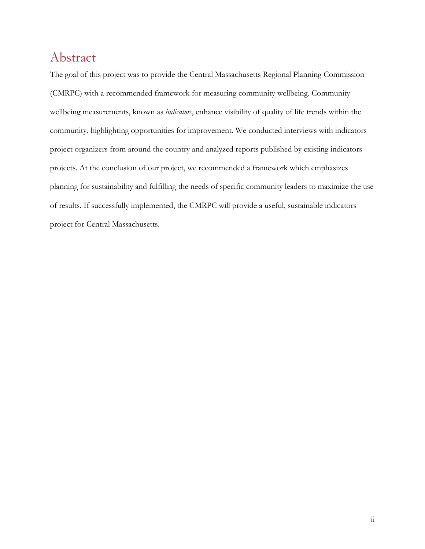## <span id="page-1-0"></span>Abstract

The goal of this project was to provide the Central Massachusetts Regional Planning Commission (CMRPC) with a recommended framework for measuring community wellbeing. Community wellbeing measurements, known as *indicators*, enhance visibility of quality of life trends within the community, highlighting opportunities for improvement. We conducted interviews with indicators project organizers from around the country and analyzed reports published by existing indicators projects. At the conclusion of our project, we recommended a framework which emphasizes planning for sustainability and fulfilling the needs of specific community leaders to maximize the use of results. If successfully implemented, the CMRPC will provide a useful, sustainable indicators project for Central Massachusetts.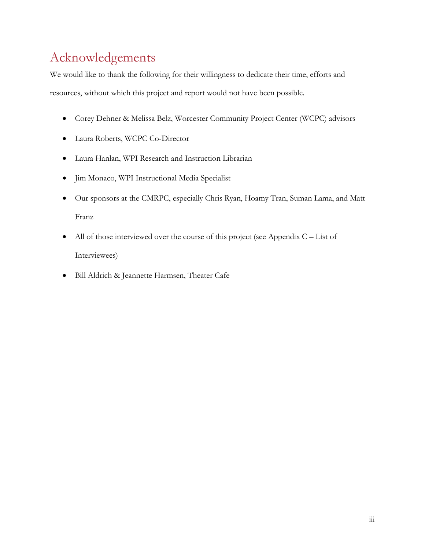# <span id="page-2-0"></span>Acknowledgements

We would like to thank the following for their willingness to dedicate their time, efforts and resources, without which this project and report would not have been possible.

- Corey Dehner & Melissa Belz, Worcester Community Project Center (WCPC) advisors
- Laura Roberts, WCPC Co-Director
- Laura Hanlan, WPI Research and Instruction Librarian
- Jim Monaco, WPI Instructional Media Specialist
- Our sponsors at the CMRPC, especially Chris Ryan, Hoamy Tran, Suman Lama, and Matt Franz
- All of those interviewed over the course of this project (see Appendix  $C List$  of [Interviewees\)](#page-63-0)
- Bill Aldrich & Jeannette Harmsen, Theater Cafe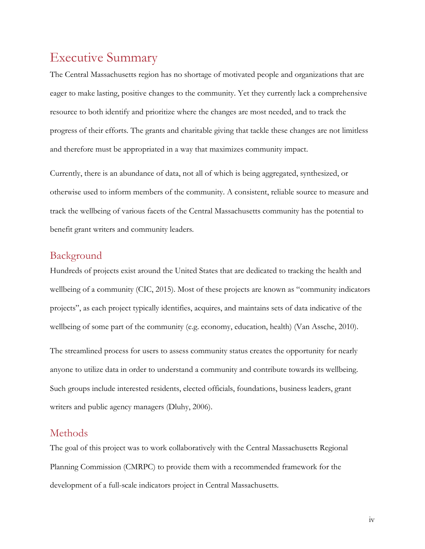## <span id="page-3-0"></span>Executive Summary

The Central Massachusetts region has no shortage of motivated people and organizations that are eager to make lasting, positive changes to the community. Yet they currently lack a comprehensive resource to both identify and prioritize where the changes are most needed, and to track the progress of their efforts. The grants and charitable giving that tackle these changes are not limitless and therefore must be appropriated in a way that maximizes community impact.

Currently, there is an abundance of data, not all of which is being aggregated, synthesized, or otherwise used to inform members of the community. A consistent, reliable source to measure and track the wellbeing of various facets of the Central Massachusetts community has the potential to benefit grant writers and community leaders.

#### <span id="page-3-1"></span>Background

Hundreds of projects exist around the United States that are dedicated to tracking the health and wellbeing of a community (CIC, 2015). Most of these projects are known as "community indicators projects", as each project typically identifies, acquires, and maintains sets of data indicative of the wellbeing of some part of the community (e.g. economy, education, health) (Van Assche, 2010).

The streamlined process for users to assess community status creates the opportunity for nearly anyone to utilize data in order to understand a community and contribute towards its wellbeing. Such groups include interested residents, elected officials, foundations, business leaders, grant writers and public agency managers (Dluhy, 2006).

#### <span id="page-3-2"></span>Methods

The goal of this project was to work collaboratively with the Central Massachusetts Regional Planning Commission (CMRPC) to provide them with a recommended framework for the development of a full-scale indicators project in Central Massachusetts.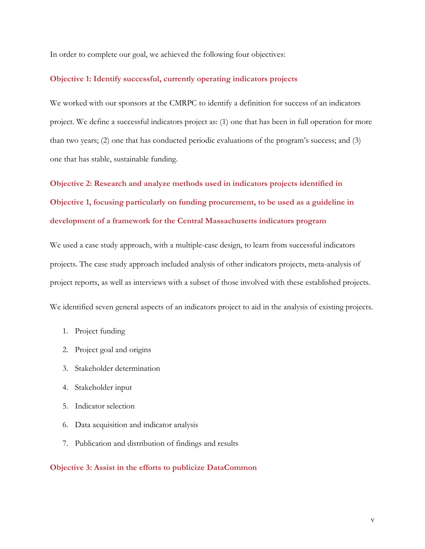In order to complete our goal, we achieved the following four objectives:

#### **Objective 1: Identify successful, currently operating indicators projects**

We worked with our sponsors at the CMRPC to identify a definition for success of an indicators project. We define a successful indicators project as: (1) one that has been in full operation for more than two years; (2) one that has conducted periodic evaluations of the program's success; and (3) one that has stable, sustainable funding.

**Objective 2: Research and analyze methods used in indicators projects identified in Objective 1, focusing particularly on funding procurement, to be used as a guideline in development of a framework for the Central Massachusetts indicators program**

We used a case study approach, with a multiple-case design, to learn from successful indicators projects. The case study approach included analysis of other indicators projects, meta-analysis of project reports, as well as interviews with a subset of those involved with these established projects.

We identified seven general aspects of an indicators project to aid in the analysis of existing projects.

- 1. Project funding
- 2. Project goal and origins
- 3. Stakeholder determination
- 4. Stakeholder input
- 5. Indicator selection
- 6. Data acquisition and indicator analysis
- 7. Publication and distribution of findings and results

#### **Objective 3: Assist in the efforts to publicize DataCommon**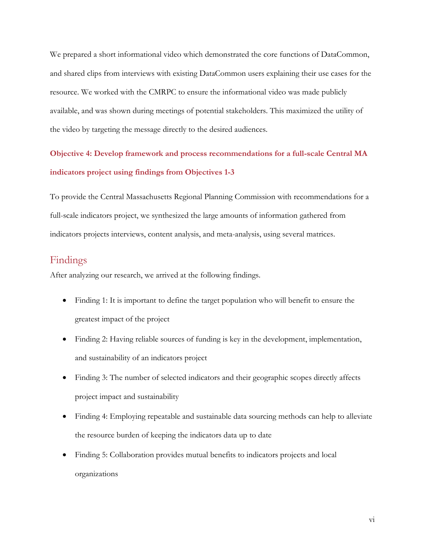We prepared a short informational video which demonstrated the core functions of DataCommon, and shared clips from interviews with existing DataCommon users explaining their use cases for the resource. We worked with the CMRPC to ensure the informational video was made publicly available, and was shown during meetings of potential stakeholders. This maximized the utility of the video by targeting the message directly to the desired audiences.

## **Objective 4: Develop framework and process recommendations for a full-scale Central MA indicators project using findings from Objectives 1-3**

To provide the Central Massachusetts Regional Planning Commission with recommendations for a full-scale indicators project, we synthesized the large amounts of information gathered from indicators projects interviews, content analysis, and meta-analysis, using several matrices.

#### <span id="page-5-0"></span>Findings

After analyzing our research, we arrived at the following findings.

- Finding 1: It is important to define the target population who will benefit to ensure the greatest impact of the project
- Finding 2: Having reliable sources of funding is key in the development, implementation, and sustainability of an indicators project
- Finding 3: The number of selected indicators and their geographic scopes directly affects project impact and sustainability
- Finding 4: Employing repeatable and sustainable data sourcing methods can help to alleviate the resource burden of keeping the indicators data up to date
- Finding 5: Collaboration provides mutual benefits to indicators projects and local organizations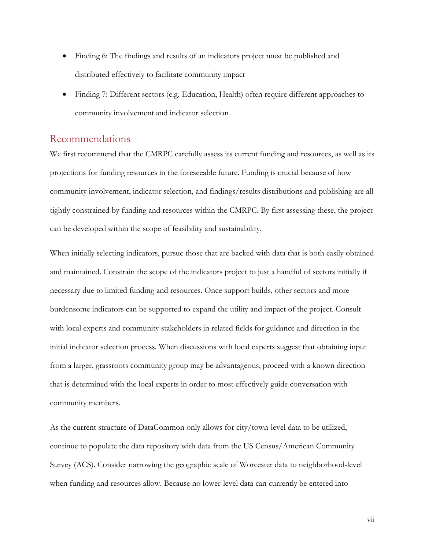- Finding 6: The findings and results of an indicators project must be published and distributed effectively to facilitate community impact
- Finding 7: Different sectors (e.g. Education, Health) often require different approaches to community involvement and indicator selection

#### <span id="page-6-0"></span>Recommendations

We first recommend that the CMRPC carefully assess its current funding and resources, as well as its projections for funding resources in the foreseeable future. Funding is crucial because of how community involvement, indicator selection, and findings/results distributions and publishing are all tightly constrained by funding and resources within the CMRPC. By first assessing these, the project can be developed within the scope of feasibility and sustainability.

When initially selecting indicators, pursue those that are backed with data that is both easily obtained and maintained. Constrain the scope of the indicators project to just a handful of sectors initially if necessary due to limited funding and resources. Once support builds, other sectors and more burdensome indicators can be supported to expand the utility and impact of the project. Consult with local experts and community stakeholders in related fields for guidance and direction in the initial indicator selection process. When discussions with local experts suggest that obtaining input from a larger, grassroots community group may be advantageous, proceed with a known direction that is determined with the local experts in order to most effectively guide conversation with community members.

As the current structure of DataCommon only allows for city/town-level data to be utilized, continue to populate the data repository with data from the US Census/American Community Survey (ACS). Consider narrowing the geographic scale of Worcester data to neighborhood-level when funding and resources allow. Because no lower-level data can currently be entered into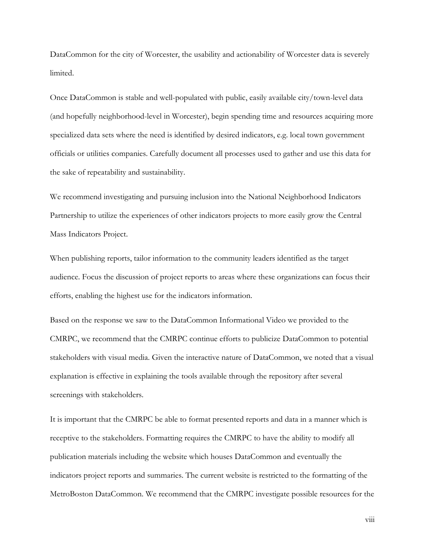DataCommon for the city of Worcester, the usability and actionability of Worcester data is severely limited.

Once DataCommon is stable and well-populated with public, easily available city/town-level data (and hopefully neighborhood-level in Worcester), begin spending time and resources acquiring more specialized data sets where the need is identified by desired indicators, e.g. local town government officials or utilities companies. Carefully document all processes used to gather and use this data for the sake of repeatability and sustainability.

We recommend investigating and pursuing inclusion into the National Neighborhood Indicators Partnership to utilize the experiences of other indicators projects to more easily grow the Central Mass Indicators Project.

When publishing reports, tailor information to the community leaders identified as the target audience. Focus the discussion of project reports to areas where these organizations can focus their efforts, enabling the highest use for the indicators information.

Based on the response we saw to the DataCommon Informational Video we provided to the CMRPC, we recommend that the CMRPC continue efforts to publicize DataCommon to potential stakeholders with visual media. Given the interactive nature of DataCommon, we noted that a visual explanation is effective in explaining the tools available through the repository after several screenings with stakeholders.

It is important that the CMRPC be able to format presented reports and data in a manner which is receptive to the stakeholders. Formatting requires the CMRPC to have the ability to modify all publication materials including the website which houses DataCommon and eventually the indicators project reports and summaries. The current website is restricted to the formatting of the MetroBoston DataCommon. We recommend that the CMRPC investigate possible resources for the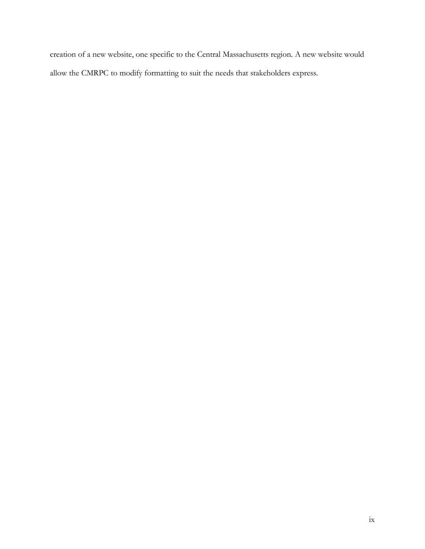creation of a new website, one specific to the Central Massachusetts region. A new website would allow the CMRPC to modify formatting to suit the needs that stakeholders express.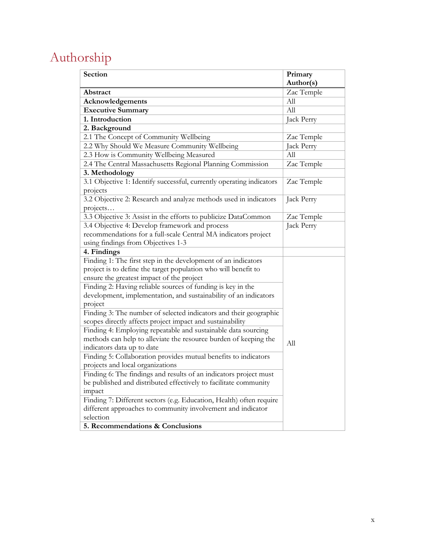# <span id="page-9-0"></span>Authorship

| Section                                                              | Primary    |
|----------------------------------------------------------------------|------------|
|                                                                      | Author(s)  |
| Abstract                                                             | Zac Temple |
| Acknowledgements                                                     | All        |
| <b>Executive Summary</b>                                             | All        |
| 1. Introduction                                                      | Jack Perry |
| 2. Background                                                        |            |
| 2.1 The Concept of Community Wellbeing                               | Zac Temple |
| 2.2 Why Should We Measure Community Wellbeing                        | Jack Perry |
| 2.3 How is Community Wellbeing Measured                              | All        |
| 2.4 The Central Massachusetts Regional Planning Commission           | Zac Temple |
| 3. Methodology                                                       |            |
| 3.1 Objective 1: Identify successful, currently operating indicators | Zac Temple |
| projects                                                             |            |
| 3.2 Objective 2: Research and analyze methods used in indicators     | Jack Perry |
| projects                                                             |            |
| 3.3 Objective 3: Assist in the efforts to publicize DataCommon       | Zac Temple |
| 3.4 Objective 4: Develop framework and process                       | Jack Perry |
| recommendations for a full-scale Central MA indicators project       |            |
| using findings from Objectives 1-3                                   |            |
| 4. Findings                                                          |            |
| Finding 1: The first step in the development of an indicators        |            |
| project is to define the target population who will benefit to       |            |
| ensure the greatest impact of the project                            |            |
| Finding 2: Having reliable sources of funding is key in the          |            |
| development, implementation, and sustainability of an indicators     |            |
| project                                                              |            |
| Finding 3: The number of selected indicators and their geographic    |            |
| scopes directly affects project impact and sustainability            |            |
| Finding 4: Employing repeatable and sustainable data sourcing        |            |
| methods can help to alleviate the resource burden of keeping the     | All        |
| indicators data up to date                                           |            |
| Finding 5: Collaboration provides mutual benefits to indicators      |            |
| projects and local organizations                                     |            |
| Finding 6: The findings and results of an indicators project must    |            |
| be published and distributed effectively to facilitate community     |            |
| impact                                                               |            |
| Finding 7: Different sectors (e.g. Education, Health) often require  |            |
| different approaches to community involvement and indicator          |            |
| selection                                                            |            |
| 5. Recommendations & Conclusions                                     |            |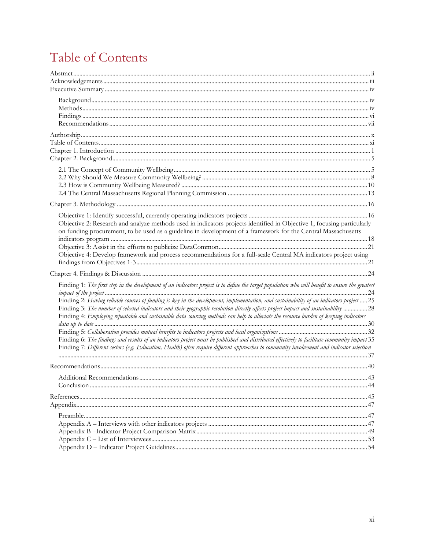# <span id="page-10-0"></span>Table of Contents

| Objective 2: Research and analyze methods used in indicators projects identified in Objective 1, focusing particularly                                                                                                                                                                                                                                                                                                  |    |
|-------------------------------------------------------------------------------------------------------------------------------------------------------------------------------------------------------------------------------------------------------------------------------------------------------------------------------------------------------------------------------------------------------------------------|----|
| on funding procurement, to be used as a guideline in development of a framework for the Central Massachusetts                                                                                                                                                                                                                                                                                                           |    |
|                                                                                                                                                                                                                                                                                                                                                                                                                         |    |
| Objective 4: Develop framework and process recommendations for a full-scale Central MA indicators project using                                                                                                                                                                                                                                                                                                         |    |
|                                                                                                                                                                                                                                                                                                                                                                                                                         |    |
|                                                                                                                                                                                                                                                                                                                                                                                                                         |    |
| Finding 1: The first step in the development of an indicators project is to define the target population who will benefit to ensure the greatest                                                                                                                                                                                                                                                                        |    |
| Finding 2: Having reliable sources of funding is key in the development, implementation, and sustainability of an indicators project  25<br>Finding 3: The number of selected indicators and their geographic resolution directly affects project impact and sustainability 28<br>Finding 4: Employing repeatable and sustainable data sourcing methods can help to alleviate the resource burden of keeping indicators |    |
|                                                                                                                                                                                                                                                                                                                                                                                                                         |    |
| Finding 6: The findings and results of an indicators project must be published and distributed effectively to facilitate community impact 35                                                                                                                                                                                                                                                                            |    |
| Finding 7: Different sectors (e.g. Education, Health) often require different approaches to community involvement and indicator selection                                                                                                                                                                                                                                                                               |    |
|                                                                                                                                                                                                                                                                                                                                                                                                                         |    |
|                                                                                                                                                                                                                                                                                                                                                                                                                         |    |
| Additional Recommendations.                                                                                                                                                                                                                                                                                                                                                                                             | 43 |
|                                                                                                                                                                                                                                                                                                                                                                                                                         |    |
|                                                                                                                                                                                                                                                                                                                                                                                                                         |    |
|                                                                                                                                                                                                                                                                                                                                                                                                                         |    |
|                                                                                                                                                                                                                                                                                                                                                                                                                         |    |
|                                                                                                                                                                                                                                                                                                                                                                                                                         |    |
|                                                                                                                                                                                                                                                                                                                                                                                                                         |    |
|                                                                                                                                                                                                                                                                                                                                                                                                                         |    |
|                                                                                                                                                                                                                                                                                                                                                                                                                         |    |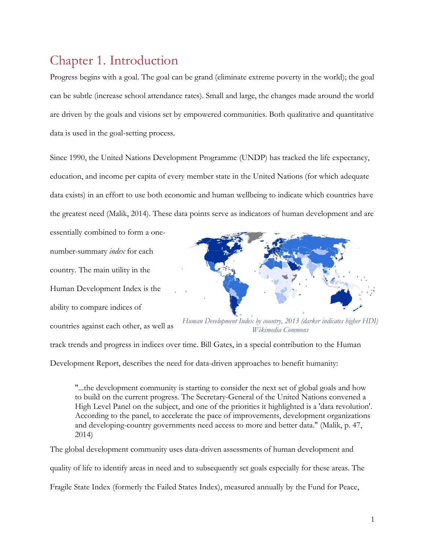# <span id="page-11-0"></span>Chapter 1. Introduction

Progress begins with a goal. The goal can be grand (eliminate extreme poverty in the world); the goal can be subtle (increase school attendance rates). Small and large, the changes made around the world are driven by the goals and visions set by empowered communities. Both qualitative and quantitative data is used in the goal-setting process.

Since 1990, the United Nations Development Programme (UNDP) has tracked the life expectancy, education, and income per capita of every member state in the United Nations (for which adequate data exists) in an effort to use both economic and human wellbeing to indicate which countries have the greatest need (Malik, 2014). These data points serve as indicators of human development and are

essentially combined to form a onenumber-summary *index* for each country. The main utility in the Human Development Index is the ability to compare indices of countries against each other, as well as



*Human Development Index by country, 2013 (darker indicates higher HDI) Wikimedia Commons* 

track trends and progress in indices over time. Bill Gates, in a special contribution to the Human Development Report, describes the need for data-driven approaches to benefit humanity:

"...the development community is starting to consider the next set of global goals and how to build on the current progress. The Secretary-General of the United Nations convened a High Level Panel on the subject, and one of the priorities it highlighted is a 'data revolution'. According to the panel, to accelerate the pace of improvements, development organizations and developing-country governments need access to more and better data." (Malik, p. 47, 2014)

The global development community uses data-driven assessments of human development and quality of life to identify areas in need and to subsequently set goals especially for these areas. The Fragile State Index (formerly the Failed States Index), measured annually by the Fund for Peace,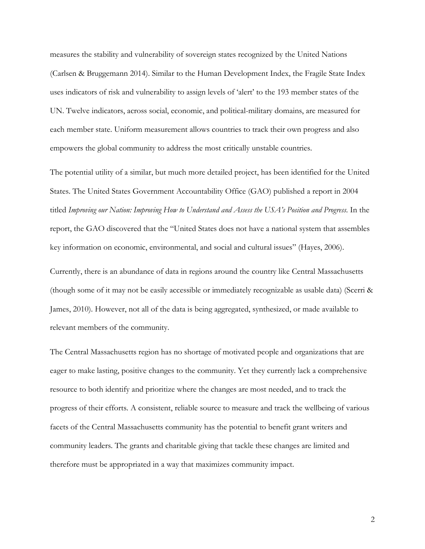measures the stability and vulnerability of sovereign states recognized by the United Nations (Carlsen & Bruggemann 2014). Similar to the Human Development Index, the Fragile State Index uses indicators of risk and vulnerability to assign levels of 'alert' to the 193 member states of the UN. Twelve indicators, across social, economic, and political-military domains, are measured for each member state. Uniform measurement allows countries to track their own progress and also empowers the global community to address the most critically unstable countries.

The potential utility of a similar, but much more detailed project, has been identified for the United States. The United States Government Accountability Office (GAO) published a report in 2004 titled *Improving our Nation: Improving How to Understand and Assess the USA's Position and Progress*. In the report, the GAO discovered that the "United States does not have a national system that assembles key information on economic, environmental, and social and cultural issues" (Hayes, 2006).

Currently, there is an abundance of data in regions around the country like Central Massachusetts (though some of it may not be easily accessible or immediately recognizable as usable data) (Scerri & James, 2010). However, not all of the data is being aggregated, synthesized, or made available to relevant members of the community.

The Central Massachusetts region has no shortage of motivated people and organizations that are eager to make lasting, positive changes to the community. Yet they currently lack a comprehensive resource to both identify and prioritize where the changes are most needed, and to track the progress of their efforts. A consistent, reliable source to measure and track the wellbeing of various facets of the Central Massachusetts community has the potential to benefit grant writers and community leaders. The grants and charitable giving that tackle these changes are limited and therefore must be appropriated in a way that maximizes community impact.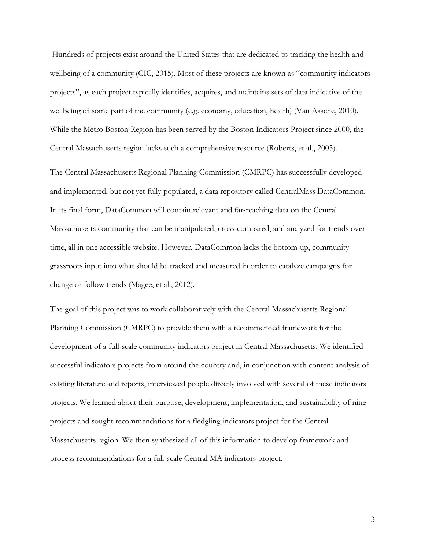Hundreds of projects exist around the United States that are dedicated to tracking the health and wellbeing of a community (CIC, 2015). Most of these projects are known as "community indicators projects", as each project typically identifies, acquires, and maintains sets of data indicative of the wellbeing of some part of the community (e.g. economy, education, health) (Van Assche, 2010). While the Metro Boston Region has been served by the Boston Indicators Project since 2000, the Central Massachusetts region lacks such a comprehensive resource (Roberts, et al., 2005).

The Central Massachusetts Regional Planning Commission (CMRPC) has successfully developed and implemented, but not yet fully populated, a data repository called CentralMass DataCommon. In its final form, DataCommon will contain relevant and far-reaching data on the Central Massachusetts community that can be manipulated, cross-compared, and analyzed for trends over time, all in one accessible website. However, DataCommon lacks the bottom-up, communitygrassroots input into what should be tracked and measured in order to catalyze campaigns for change or follow trends (Magee, et al., 2012).

The goal of this project was to work collaboratively with the Central Massachusetts Regional Planning Commission (CMRPC) to provide them with a recommended framework for the development of a full-scale community indicators project in Central Massachusetts. We identified successful indicators projects from around the country and, in conjunction with content analysis of existing literature and reports, interviewed people directly involved with several of these indicators projects. We learned about their purpose, development, implementation, and sustainability of nine projects and sought recommendations for a fledgling indicators project for the Central Massachusetts region. We then synthesized all of this information to develop framework and process recommendations for a full-scale Central MA indicators project.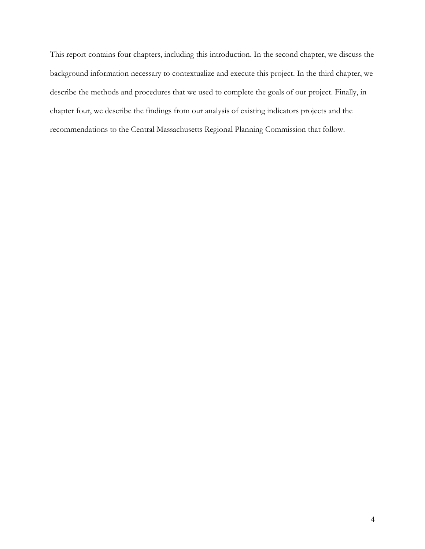This report contains four chapters, including this introduction. In the second chapter, we discuss the background information necessary to contextualize and execute this project. In the third chapter, we describe the methods and procedures that we used to complete the goals of our project. Finally, in chapter four, we describe the findings from our analysis of existing indicators projects and the recommendations to the Central Massachusetts Regional Planning Commission that follow.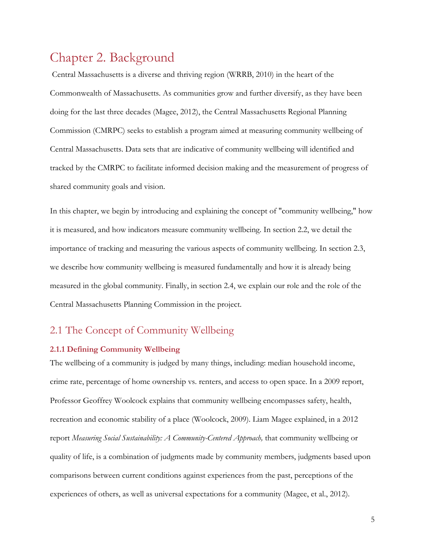## <span id="page-15-0"></span>Chapter 2. Background

Central Massachusetts is a diverse and thriving region (WRRB, 2010) in the heart of the Commonwealth of Massachusetts. As communities grow and further diversify, as they have been doing for the last three decades (Magee, 2012), the Central Massachusetts Regional Planning Commission (CMRPC) seeks to establish a program aimed at measuring community wellbeing of Central Massachusetts. Data sets that are indicative of community wellbeing will identified and tracked by the CMRPC to facilitate informed decision making and the measurement of progress of shared community goals and vision.

In this chapter, we begin by introducing and explaining the concept of "community wellbeing," how it is measured, and how indicators measure community wellbeing. In section 2.2, we detail the importance of tracking and measuring the various aspects of community wellbeing. In section 2.3, we describe how community wellbeing is measured fundamentally and how it is already being measured in the global community. Finally, in section 2.4, we explain our role and the role of the Central Massachusetts Planning Commission in the project.

### <span id="page-15-1"></span>2.1 The Concept of Community Wellbeing

#### **2.1.1 Defining Community Wellbeing**

The wellbeing of a community is judged by many things, including: median household income, crime rate, percentage of home ownership vs. renters, and access to open space. In a 2009 report, Professor Geoffrey Woolcock explains that community wellbeing encompasses safety, health, recreation and economic stability of a place (Woolcock, 2009). Liam Magee explained, in a 2012 report *Measuring Social Sustainability: A Community-Centered Approach,* that community wellbeing or quality of life, is a combination of judgments made by community members, judgments based upon comparisons between current conditions against experiences from the past, perceptions of the experiences of others, as well as universal expectations for a community (Magee, et al., 2012).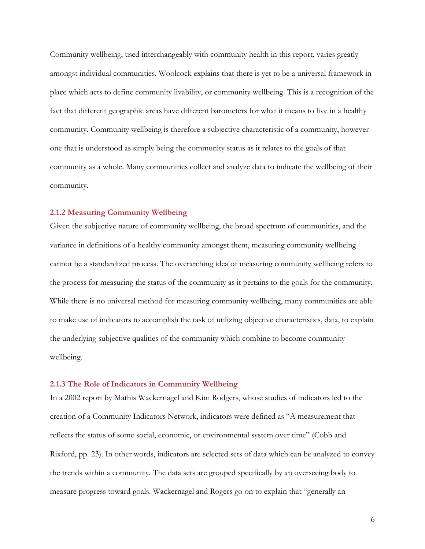Community wellbeing, used interchangeably with community health in this report, varies greatly amongst individual communities. Woolcock explains that there is yet to be a universal framework in place which acts to define community livability, or community wellbeing. This is a recognition of the fact that different geographic areas have different barometers for what it means to live in a healthy community. Community wellbeing is therefore a subjective characteristic of a community, however one that is understood as simply being the community status as it relates to the goals of that community as a whole. Many communities collect and analyze data to indicate the wellbeing of their community.

#### **2.1.2 Measuring Community Wellbeing**

Given the subjective nature of community wellbeing, the broad spectrum of communities, and the variance in definitions of a healthy community amongst them, measuring community wellbeing cannot be a standardized process. The overarching idea of measuring community wellbeing refers to the process for measuring the status of the community as it pertains to the goals for the community. While there is no universal method for measuring community wellbeing, many communities are able to make use of indicators to accomplish the task of utilizing objective characteristics, data, to explain the underlying subjective qualities of the community which combine to become community wellbeing.

#### **2.1.3 The Role of Indicators in Community Wellbeing**

In a 2002 report by Mathis Wackernagel and Kim Rodgers, whose studies of indicators led to the creation of a Community Indicators Network, indicators were defined as "A measurement that reflects the status of some social, economic, or environmental system over time" (Cobb and Rixford, pp. 23). In other words, indicators are selected sets of data which can be analyzed to convey the trends within a community. The data sets are grouped specifically by an overseeing body to measure progress toward goals. Wackernagel and Rogers go on to explain that "generally an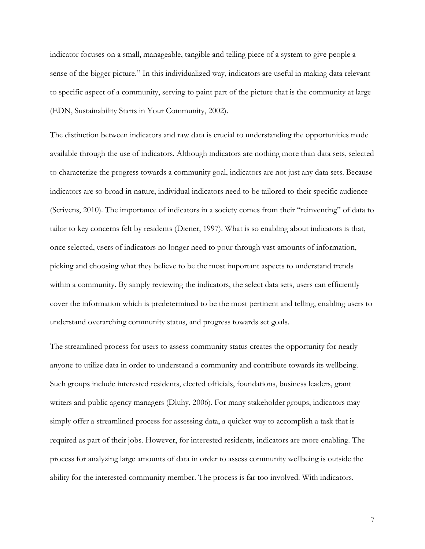indicator focuses on a small, manageable, tangible and telling piece of a system to give people a sense of the bigger picture." In this individualized way, indicators are useful in making data relevant to specific aspect of a community, serving to paint part of the picture that is the community at large (EDN, Sustainability Starts in Your Community, 2002).

The distinction between indicators and raw data is crucial to understanding the opportunities made available through the use of indicators. Although indicators are nothing more than data sets, selected to characterize the progress towards a community goal, indicators are not just any data sets. Because indicators are so broad in nature, individual indicators need to be tailored to their specific audience (Scrivens, 2010). The importance of indicators in a society comes from their "reinventing" of data to tailor to key concerns felt by residents (Diener, 1997). What is so enabling about indicators is that, once selected, users of indicators no longer need to pour through vast amounts of information, picking and choosing what they believe to be the most important aspects to understand trends within a community. By simply reviewing the indicators, the select data sets, users can efficiently cover the information which is predetermined to be the most pertinent and telling, enabling users to understand overarching community status, and progress towards set goals.

The streamlined process for users to assess community status creates the opportunity for nearly anyone to utilize data in order to understand a community and contribute towards its wellbeing. Such groups include interested residents, elected officials, foundations, business leaders, grant writers and public agency managers (Dluhy, 2006). For many stakeholder groups, indicators may simply offer a streamlined process for assessing data, a quicker way to accomplish a task that is required as part of their jobs. However, for interested residents, indicators are more enabling. The process for analyzing large amounts of data in order to assess community wellbeing is outside the ability for the interested community member. The process is far too involved. With indicators,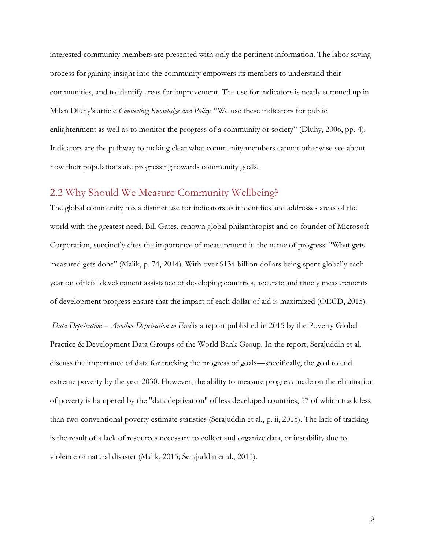interested community members are presented with only the pertinent information. The labor saving process for gaining insight into the community empowers its members to understand their communities, and to identify areas for improvement. The use for indicators is neatly summed up in Milan Dluhy's article *Connecting Knowledge and Policy*: "We use these indicators for public enlightenment as well as to monitor the progress of a community or society" (Dluhy, 2006, pp. 4). Indicators are the pathway to making clear what community members cannot otherwise see about how their populations are progressing towards community goals.

#### <span id="page-18-0"></span>2.2 Why Should We Measure Community Wellbeing?

The global community has a distinct use for indicators as it identifies and addresses areas of the world with the greatest need. Bill Gates, renown global philanthropist and co-founder of Microsoft Corporation, succinctly cites the importance of measurement in the name of progress: "What gets measured gets done" (Malik, p. 74, 2014). With over \$134 billion dollars being spent globally each year on official development assistance of developing countries, accurate and timely measurements of development progress ensure that the impact of each dollar of aid is maximized (OECD, 2015).

*Data Deprivation – Another Deprivation to End* is a report published in 2015 by the Poverty Global Practice & Development Data Groups of the World Bank Group. In the report, Serajuddin et al. discuss the importance of data for tracking the progress of goals—specifically, the goal to end extreme poverty by the year 2030. However, the ability to measure progress made on the elimination of poverty is hampered by the "data deprivation" of less developed countries, 57 of which track less than two conventional poverty estimate statistics (Serajuddin et al., p. ii, 2015). The lack of tracking is the result of a lack of resources necessary to collect and organize data, or instability due to violence or natural disaster (Malik, 2015; Serajuddin et al., 2015).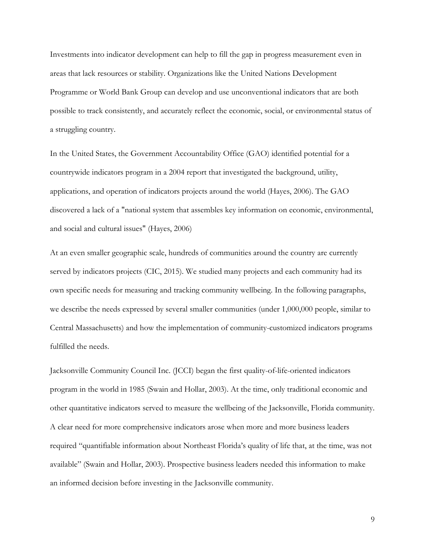Investments into indicator development can help to fill the gap in progress measurement even in areas that lack resources or stability. Organizations like the United Nations Development Programme or World Bank Group can develop and use unconventional indicators that are both possible to track consistently, and accurately reflect the economic, social, or environmental status of a struggling country.

In the United States, the Government Accountability Office (GAO) identified potential for a countrywide indicators program in a 2004 report that investigated the background, utility, applications, and operation of indicators projects around the world (Hayes, 2006). The GAO discovered a lack of a "national system that assembles key information on economic, environmental, and social and cultural issues" (Hayes, 2006)

At an even smaller geographic scale, hundreds of communities around the country are currently served by indicators projects (CIC, 2015). We studied many projects and each community had its own specific needs for measuring and tracking community wellbeing. In the following paragraphs, we describe the needs expressed by several smaller communities (under 1,000,000 people, similar to Central Massachusetts) and how the implementation of community-customized indicators programs fulfilled the needs.

Jacksonville Community Council Inc. (JCCI) began the first quality-of-life-oriented indicators program in the world in 1985 (Swain and Hollar, 2003). At the time, only traditional economic and other quantitative indicators served to measure the wellbeing of the Jacksonville, Florida community. A clear need for more comprehensive indicators arose when more and more business leaders required "quantifiable information about Northeast Florida's quality of life that, at the time, was not available" (Swain and Hollar, 2003). Prospective business leaders needed this information to make an informed decision before investing in the Jacksonville community.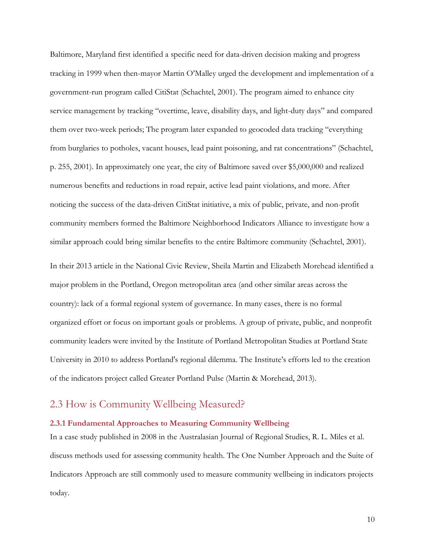Baltimore, Maryland first identified a specific need for data-driven decision making and progress tracking in 1999 when then-mayor Martin O'Malley urged the development and implementation of a government-run program called CitiStat (Schachtel, 2001). The program aimed to enhance city service management by tracking "overtime, leave, disability days, and light-duty days" and compared them over two-week periods; The program later expanded to geocoded data tracking "everything from burglaries to potholes, vacant houses, lead paint poisoning, and rat concentrations" (Schachtel, p. 255, 2001). In approximately one year, the city of Baltimore saved over \$5,000,000 and realized numerous benefits and reductions in road repair, active lead paint violations, and more. After noticing the success of the data-driven CitiStat initiative, a mix of public, private, and non-profit community members formed the Baltimore Neighborhood Indicators Alliance to investigate how a similar approach could bring similar benefits to the entire Baltimore community (Schachtel, 2001).

In their 2013 article in the National Civic Review, Sheila Martin and Elizabeth Morehead identified a major problem in the Portland, Oregon metropolitan area (and other similar areas across the country): lack of a formal regional system of governance. In many cases, there is no formal organized effort or focus on important goals or problems. A group of private, public, and nonprofit community leaders were invited by the Institute of Portland Metropolitan Studies at Portland State University in 2010 to address Portland's regional dilemma. The Institute's efforts led to the creation of the indicators project called Greater Portland Pulse (Martin & Morehead, 2013).

#### <span id="page-20-0"></span>2.3 How is Community Wellbeing Measured?

#### **2.3.1 Fundamental Approaches to Measuring Community Wellbeing**

In a case study published in 2008 in the Australasian Journal of Regional Studies, R. L. Miles et al. discuss methods used for assessing community health. The One Number Approach and the Suite of Indicators Approach are still commonly used to measure community wellbeing in indicators projects today.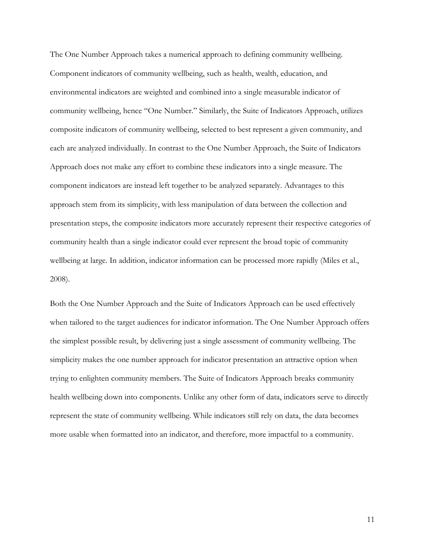The One Number Approach takes a numerical approach to defining community wellbeing. Component indicators of community wellbeing, such as health, wealth, education, and environmental indicators are weighted and combined into a single measurable indicator of community wellbeing, hence "One Number." Similarly, the Suite of Indicators Approach, utilizes composite indicators of community wellbeing, selected to best represent a given community, and each are analyzed individually. In contrast to the One Number Approach, the Suite of Indicators Approach does not make any effort to combine these indicators into a single measure. The component indicators are instead left together to be analyzed separately. Advantages to this approach stem from its simplicity, with less manipulation of data between the collection and presentation steps, the composite indicators more accurately represent their respective categories of community health than a single indicator could ever represent the broad topic of community wellbeing at large. In addition, indicator information can be processed more rapidly (Miles et al., 2008).

Both the One Number Approach and the Suite of Indicators Approach can be used effectively when tailored to the target audiences for indicator information. The One Number Approach offers the simplest possible result, by delivering just a single assessment of community wellbeing. The simplicity makes the one number approach for indicator presentation an attractive option when trying to enlighten community members. The Suite of Indicators Approach breaks community health wellbeing down into components. Unlike any other form of data, indicators serve to directly represent the state of community wellbeing. While indicators still rely on data, the data becomes more usable when formatted into an indicator, and therefore, more impactful to a community.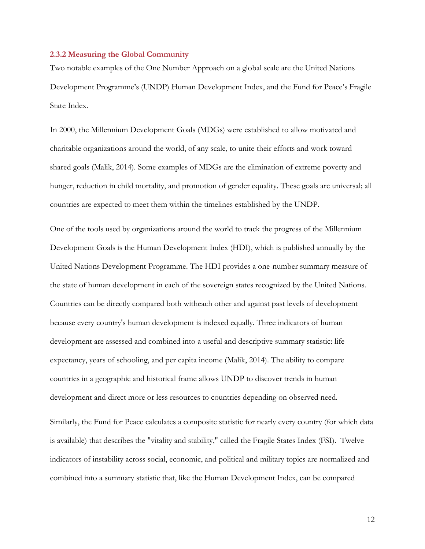#### **2.3.2 Measuring the Global Community**

Two notable examples of the One Number Approach on a global scale are the United Nations Development Programme's (UNDP) Human Development Index, and the Fund for Peace's Fragile State Index.

In 2000, the Millennium Development Goals (MDGs) were established to allow motivated and charitable organizations around the world, of any scale, to unite their efforts and work toward shared goals (Malik, 2014). Some examples of MDGs are the elimination of extreme poverty and hunger, reduction in child mortality, and promotion of gender equality. These goals are universal; all countries are expected to meet them within the timelines established by the UNDP.

One of the tools used by organizations around the world to track the progress of the Millennium Development Goals is the Human Development Index (HDI), which is published annually by the United Nations Development Programme. The HDI provides a one-number summary measure of the state of human development in each of the sovereign states recognized by the United Nations. Countries can be directly compared both witheach other and against past levels of development because every country's human development is indexed equally. Three indicators of human development are assessed and combined into a useful and descriptive summary statistic: life expectancy, years of schooling, and per capita income (Malik, 2014). The ability to compare countries in a geographic and historical frame allows UNDP to discover trends in human development and direct more or less resources to countries depending on observed need. Similarly, the Fund for Peace calculates a composite statistic for nearly every country (for which data is available) that describes the "vitality and stability," called the Fragile States Index (FSI). Twelve indicators of instability across social, economic, and political and military topics are normalized and

combined into a summary statistic that, like the Human Development Index, can be compared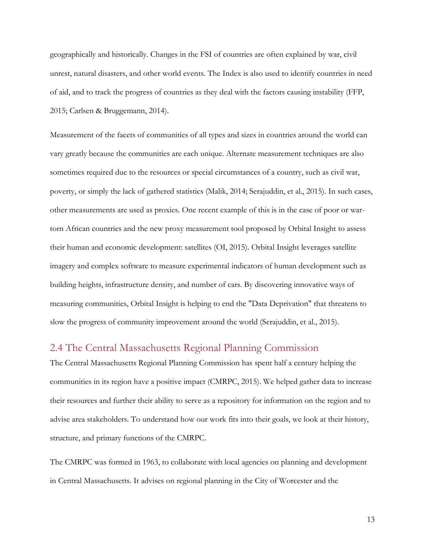geographically and historically. Changes in the FSI of countries are often explained by war, civil unrest, natural disasters, and other world events. The Index is also used to identify countries in need of aid, and to track the progress of countries as they deal with the factors causing instability (FFP, 2015; Carlsen & Bruggemann, 2014).

Measurement of the facets of communities of all types and sizes in countries around the world can vary greatly because the communities are each unique. Alternate measurement techniques are also sometimes required due to the resources or special circumstances of a country, such as civil war, poverty, or simply the lack of gathered statistics (Malik, 2014; Serajuddin, et al., 2015). In such cases, other measurements are used as proxies. One recent example of this is in the case of poor or wartorn African countries and the new proxy measurement tool proposed by Orbital Insight to assess their human and economic development: satellites (OI, 2015). Orbital Insight leverages satellite imagery and complex software to measure experimental indicators of human development such as building heights, infrastructure density, and number of cars. By discovering innovative ways of measuring communities, Orbital Insight is helping to end the "Data Deprivation" that threatens to slow the progress of community improvement around the world (Serajuddin, et al., 2015).

#### <span id="page-23-0"></span>2.4 The Central Massachusetts Regional Planning Commission

The Central Massachusetts Regional Planning Commission has spent half a century helping the communities in its region have a positive impact (CMRPC, 2015). We helped gather data to increase their resources and further their ability to serve as a repository for information on the region and to advise area stakeholders. To understand how our work fits into their goals, we look at their history, structure, and primary functions of the CMRPC.

The CMRPC was formed in 1963, to collaborate with local agencies on planning and development in Central Massachusetts. It advises on regional planning in the City of Worcester and the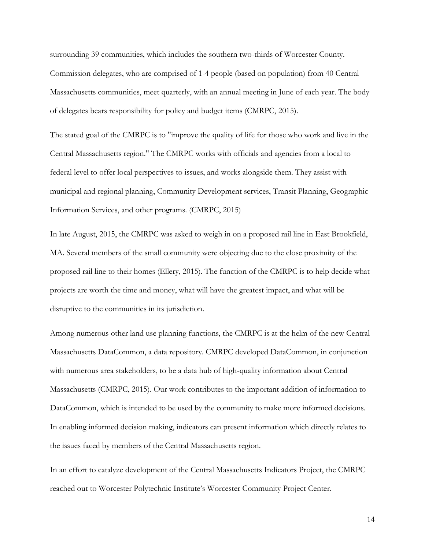surrounding 39 communities, which includes the southern two-thirds of Worcester County. Commission delegates, who are comprised of 1-4 people (based on population) from 40 Central Massachusetts communities, meet quarterly, with an annual meeting in June of each year. The body of delegates bears responsibility for policy and budget items (CMRPC, 2015).

The stated goal of the CMRPC is to "improve the quality of life for those who work and live in the Central Massachusetts region." The CMRPC works with officials and agencies from a local to federal level to offer local perspectives to issues, and works alongside them. They assist with municipal and regional planning, Community Development services, Transit Planning, Geographic Information Services, and other programs. (CMRPC, 2015)

In late August, 2015, the CMRPC was asked to weigh in on a proposed rail line in East Brookfield, MA. Several members of the small community were objecting due to the close proximity of the proposed rail line to their homes (Ellery, 2015). The function of the CMRPC is to help decide what projects are worth the time and money, what will have the greatest impact, and what will be disruptive to the communities in its jurisdiction.

Among numerous other land use planning functions, the CMRPC is at the helm of the new Central Massachusetts DataCommon, a data repository. CMRPC developed DataCommon, in conjunction with numerous area stakeholders, to be a data hub of high-quality information about Central Massachusetts (CMRPC, 2015). Our work contributes to the important addition of information to DataCommon, which is intended to be used by the community to make more informed decisions. In enabling informed decision making, indicators can present information which directly relates to the issues faced by members of the Central Massachusetts region.

In an effort to catalyze development of the Central Massachusetts Indicators Project, the CMRPC reached out to Worcester Polytechnic Institute's Worcester Community Project Center.

14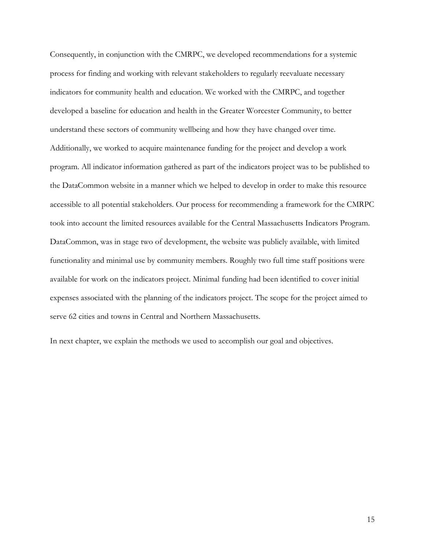Consequently, in conjunction with the CMRPC, we developed recommendations for a systemic process for finding and working with relevant stakeholders to regularly reevaluate necessary indicators for community health and education. We worked with the CMRPC, and together developed a baseline for education and health in the Greater Worcester Community, to better understand these sectors of community wellbeing and how they have changed over time. Additionally, we worked to acquire maintenance funding for the project and develop a work program. All indicator information gathered as part of the indicators project was to be published to the DataCommon website in a manner which we helped to develop in order to make this resource accessible to all potential stakeholders. Our process for recommending a framework for the CMRPC took into account the limited resources available for the Central Massachusetts Indicators Program. DataCommon, was in stage two of development, the website was publicly available, with limited functionality and minimal use by community members. Roughly two full time staff positions were available for work on the indicators project. Minimal funding had been identified to cover initial expenses associated with the planning of the indicators project. The scope for the project aimed to serve 62 cities and towns in Central and Northern Massachusetts.

In next chapter, we explain the methods we used to accomplish our goal and objectives.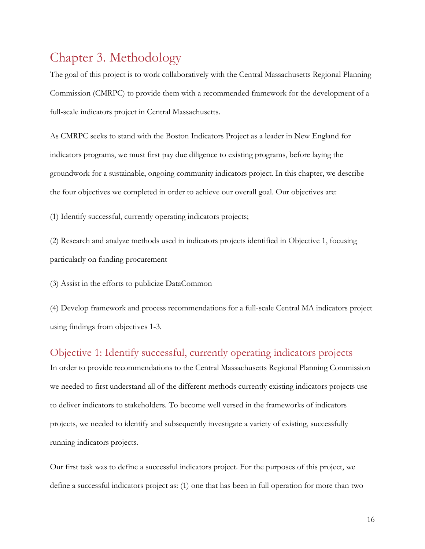# <span id="page-26-0"></span>Chapter 3. Methodology

The goal of this project is to work collaboratively with the Central Massachusetts Regional Planning Commission (CMRPC) to provide them with a recommended framework for the development of a full-scale indicators project in Central Massachusetts.

As CMRPC seeks to stand with the Boston Indicators Project as a leader in New England for indicators programs, we must first pay due diligence to existing programs, before laying the groundwork for a sustainable, ongoing community indicators project. In this chapter, we describe the four objectives we completed in order to achieve our overall goal. Our objectives are:

(1) Identify successful, currently operating indicators projects;

(2) Research and analyze methods used in indicators projects identified in Objective 1, focusing particularly on funding procurement

(3) Assist in the efforts to publicize DataCommon

(4) Develop framework and process recommendations for a full-scale Central MA indicators project using findings from objectives 1-3.

#### <span id="page-26-1"></span>Objective 1: Identify successful, currently operating indicators projects

In order to provide recommendations to the Central Massachusetts Regional Planning Commission we needed to first understand all of the different methods currently existing indicators projects use to deliver indicators to stakeholders. To become well versed in the frameworks of indicators projects, we needed to identify and subsequently investigate a variety of existing, successfully running indicators projects.

Our first task was to define a successful indicators project. For the purposes of this project, we define a successful indicators project as: (1) one that has been in full operation for more than two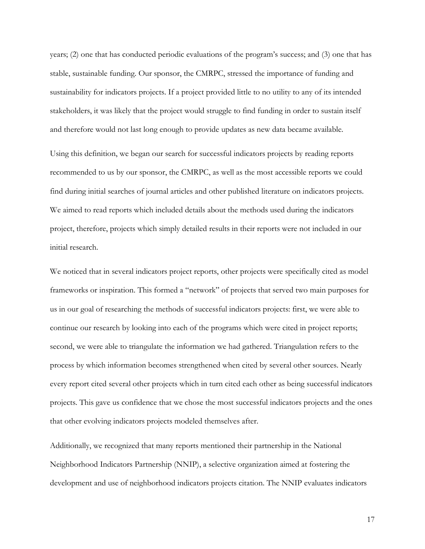years; (2) one that has conducted periodic evaluations of the program's success; and (3) one that has stable, sustainable funding. Our sponsor, the CMRPC, stressed the importance of funding and sustainability for indicators projects. If a project provided little to no utility to any of its intended stakeholders, it was likely that the project would struggle to find funding in order to sustain itself and therefore would not last long enough to provide updates as new data became available.

Using this definition, we began our search for successful indicators projects by reading reports recommended to us by our sponsor, the CMRPC, as well as the most accessible reports we could find during initial searches of journal articles and other published literature on indicators projects. We aimed to read reports which included details about the methods used during the indicators project, therefore, projects which simply detailed results in their reports were not included in our initial research.

We noticed that in several indicators project reports, other projects were specifically cited as model frameworks or inspiration. This formed a "network" of projects that served two main purposes for us in our goal of researching the methods of successful indicators projects: first, we were able to continue our research by looking into each of the programs which were cited in project reports; second, we were able to triangulate the information we had gathered. Triangulation refers to the process by which information becomes strengthened when cited by several other sources. Nearly every report cited several other projects which in turn cited each other as being successful indicators projects. This gave us confidence that we chose the most successful indicators projects and the ones that other evolving indicators projects modeled themselves after.

Additionally, we recognized that many reports mentioned their partnership in the National Neighborhood Indicators Partnership (NNIP), a selective organization aimed at fostering the development and use of neighborhood indicators projects citation. The NNIP evaluates indicators

17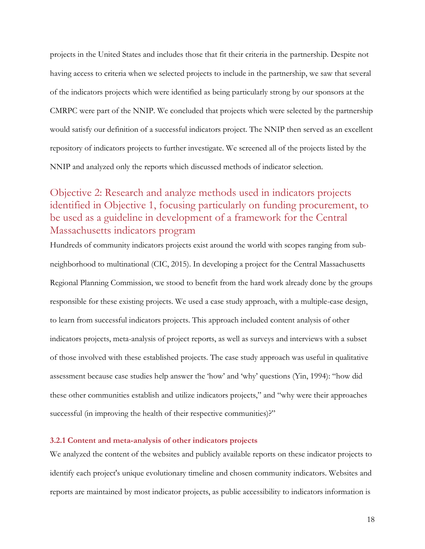projects in the United States and includes those that fit their criteria in the partnership. Despite not having access to criteria when we selected projects to include in the partnership, we saw that several of the indicators projects which were identified as being particularly strong by our sponsors at the CMRPC were part of the NNIP. We concluded that projects which were selected by the partnership would satisfy our definition of a successful indicators project. The NNIP then served as an excellent repository of indicators projects to further investigate. We screened all of the projects listed by the NNIP and analyzed only the reports which discussed methods of indicator selection.

### <span id="page-28-0"></span>Objective 2: Research and analyze methods used in indicators projects identified in Objective 1, focusing particularly on funding procurement, to be used as a guideline in development of a framework for the Central Massachusetts indicators program

Hundreds of community indicators projects exist around the world with scopes ranging from subneighborhood to multinational (CIC, 2015). In developing a project for the Central Massachusetts Regional Planning Commission, we stood to benefit from the hard work already done by the groups responsible for these existing projects. We used a case study approach, with a multiple-case design, to learn from successful indicators projects. This approach included content analysis of other indicators projects, meta-analysis of project reports, as well as surveys and interviews with a subset of those involved with these established projects. The case study approach was useful in qualitative assessment because case studies help answer the 'how' and 'why' questions (Yin, 1994): "how did these other communities establish and utilize indicators projects," and "why were their approaches successful (in improving the health of their respective communities)?"

#### **3.2.1 Content and meta-analysis of other indicators projects**

We analyzed the content of the websites and publicly available reports on these indicator projects to identify each project's unique evolutionary timeline and chosen community indicators. Websites and reports are maintained by most indicator projects, as public accessibility to indicators information is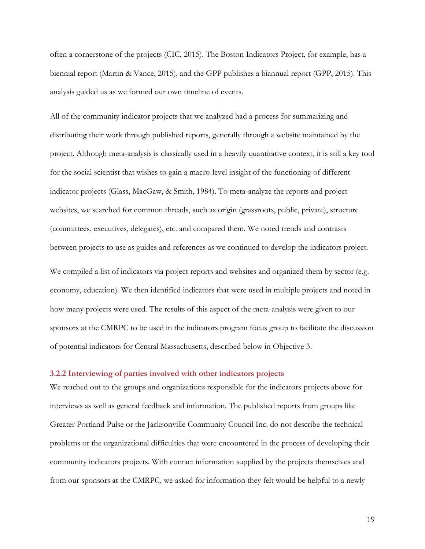often a cornerstone of the projects (CIC, 2015). The Boston Indicators Project, for example, has a biennial report (Martin & Vance, 2015), and the GPP publishes a biannual report (GPP, 2015). This analysis guided us as we formed our own timeline of events.

All of the community indicator projects that we analyzed had a process for summarizing and distributing their work through published reports, generally through a website maintained by the project. Although meta-analysis is classically used in a heavily quantitative context, it is still a key tool for the social scientist that wishes to gain a macro-level insight of the functioning of different indicator projects (Glass, MacGaw, & Smith, 1984). To meta-analyze the reports and project websites, we searched for common threads, such as origin (grassroots, public, private), structure (committees, executives, delegates), etc. and compared them. We noted trends and contrasts between projects to use as guides and references as we continued to develop the indicators project.

We compiled a list of indicators via project reports and websites and organized them by sector (e.g. economy, education). We then identified indicators that were used in multiple projects and noted in how many projects were used. The results of this aspect of the meta-analysis were given to our sponsors at the CMRPC to be used in the indicators program focus group to facilitate the discussion of potential indicators for Central Massachusetts, described below in Objective 3.

#### **3.2.2 Interviewing of parties involved with other indicators projects**

We reached out to the groups and organizations responsible for the indicators projects above for interviews as well as general feedback and information. The published reports from groups like Greater Portland Pulse or the Jacksonville Community Council Inc. do not describe the technical problems or the organizational difficulties that were encountered in the process of developing their community indicators projects. With contact information supplied by the projects themselves and from our sponsors at the CMRPC, we asked for information they felt would be helpful to a newly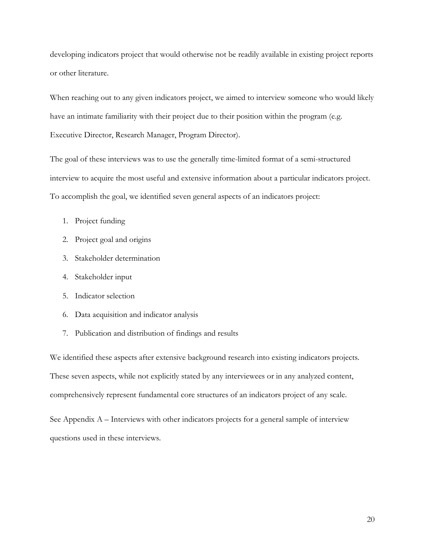developing indicators project that would otherwise not be readily available in existing project reports or other literature.

When reaching out to any given indicators project, we aimed to interview someone who would likely have an intimate familiarity with their project due to their position within the program (e.g. Executive Director, Research Manager, Program Director).

The goal of these interviews was to use the generally time-limited format of a semi-structured interview to acquire the most useful and extensive information about a particular indicators project. To accomplish the goal, we identified seven general aspects of an indicators project:

- 1. Project funding
- 2. Project goal and origins
- 3. Stakeholder determination
- 4. Stakeholder input
- 5. Indicator selection
- 6. Data acquisition and indicator analysis
- 7. Publication and distribution of findings and results

We identified these aspects after extensive background research into existing indicators projects. These seven aspects, while not explicitly stated by any interviewees or in any analyzed content, comprehensively represent fundamental core structures of an indicators project of any scale.

See Appendix A – [Interviews with other](#page-57-2) indicators projects for a general sample of interview questions used in these interviews.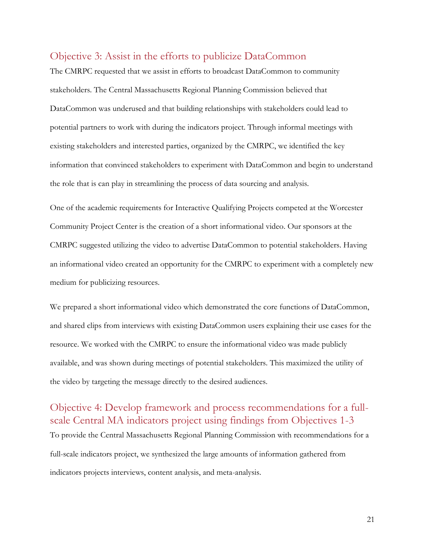### <span id="page-31-0"></span>Objective 3: Assist in the efforts to publicize DataCommon

The CMRPC requested that we assist in efforts to broadcast DataCommon to community stakeholders. The Central Massachusetts Regional Planning Commission believed that DataCommon was underused and that building relationships with stakeholders could lead to potential partners to work with during the indicators project. Through informal meetings with existing stakeholders and interested parties, organized by the CMRPC, we identified the key information that convinced stakeholders to experiment with DataCommon and begin to understand the role that is can play in streamlining the process of data sourcing and analysis.

One of the academic requirements for Interactive Qualifying Projects competed at the Worcester Community Project Center is the creation of a short informational video. Our sponsors at the CMRPC suggested utilizing the video to advertise DataCommon to potential stakeholders. Having an informational video created an opportunity for the CMRPC to experiment with a completely new medium for publicizing resources.

We prepared a short informational video which demonstrated the core functions of DataCommon, and shared clips from interviews with existing DataCommon users explaining their use cases for the resource. We worked with the CMRPC to ensure the informational video was made publicly available, and was shown during meetings of potential stakeholders. This maximized the utility of the video by targeting the message directly to the desired audiences.

<span id="page-31-1"></span>Objective 4: Develop framework and process recommendations for a fullscale Central MA indicators project using findings from Objectives 1-3 To provide the Central Massachusetts Regional Planning Commission with recommendations for a full-scale indicators project, we synthesized the large amounts of information gathered from indicators projects interviews, content analysis, and meta-analysis.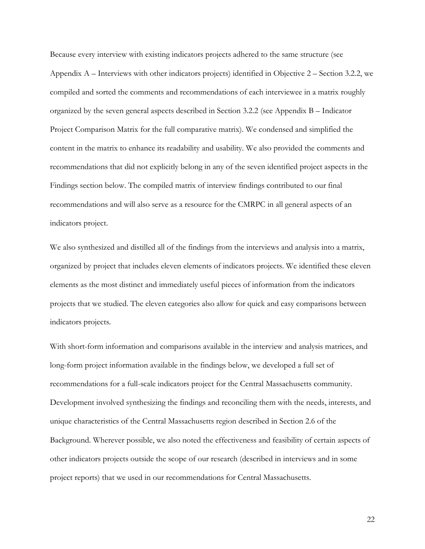Because every interview with existing indicators projects adhered to the same structure (see Appendix A – [Interviews with other](#page-57-2) indicators projects) identified in Objective 2 – Section 3.2.2, we compiled and sorted the comments and recommendations of each interviewee in a matrix roughly organized by the seven general aspects described in Section 3.2.2 (see [Appendix B](#page-59-0) – Indicator [Project Comparison Matrix](#page-59-0) for the full comparative matrix). We condensed and simplified the content in the matrix to enhance its readability and usability. We also provided the comments and recommendations that did not explicitly belong in any of the seven identified project aspects in the Findings section below. The compiled matrix of interview findings contributed to our final recommendations and will also serve as a resource for the CMRPC in all general aspects of an indicators project.

We also synthesized and distilled all of the findings from the interviews and analysis into a matrix, organized by project that includes eleven elements of indicators projects. We identified these eleven elements as the most distinct and immediately useful pieces of information from the indicators projects that we studied. The eleven categories also allow for quick and easy comparisons between indicators projects.

With short-form information and comparisons available in the interview and analysis matrices, and long-form project information available in the findings below, we developed a full set of recommendations for a full-scale indicators project for the Central Massachusetts community. Development involved synthesizing the findings and reconciling them with the needs, interests, and unique characteristics of the Central Massachusetts region described in Section 2.6 of the Background. Wherever possible, we also noted the effectiveness and feasibility of certain aspects of other indicators projects outside the scope of our research (described in interviews and in some project reports) that we used in our recommendations for Central Massachusetts.

22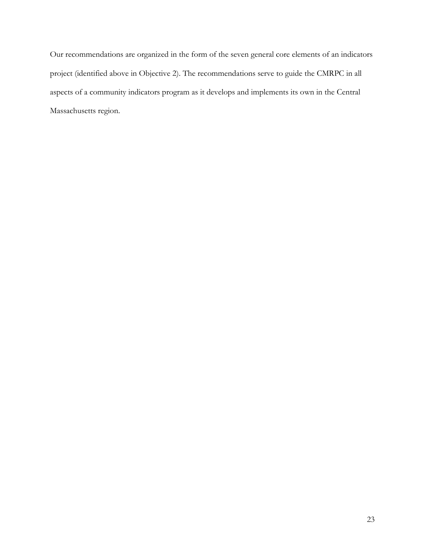Our recommendations are organized in the form of the seven general core elements of an indicators project (identified above in Objective 2). The recommendations serve to guide the CMRPC in all aspects of a community indicators program as it develops and implements its own in the Central Massachusetts region.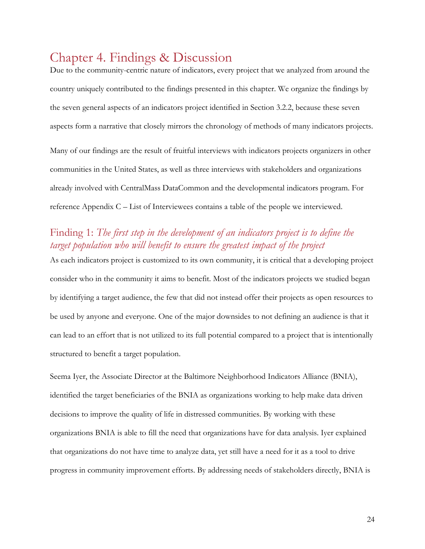# <span id="page-34-0"></span>Chapter 4. Findings & Discussion

Due to the community-centric nature of indicators, every project that we analyzed from around the country uniquely contributed to the findings presented in this chapter. We organize the findings by the seven general aspects of an indicators project identified in Section 3.2.2, because these seven aspects form a narrative that closely mirrors the chronology of methods of many indicators projects. Many of our findings are the result of fruitful interviews with indicators projects organizers in other communities in the United States, as well as three interviews with stakeholders and organizations already involved with CentralMass DataCommon and the developmental indicators program. For reference Appendix C – List of [Interviewees](#page-63-0) contains a table of the people we interviewed.

### <span id="page-34-1"></span>Finding 1: *The first step in the development of an indicators project is to define the target population who will benefit to ensure the greatest impact of the project*

As each indicators project is customized to its own community, it is critical that a developing project consider who in the community it aims to benefit. Most of the indicators projects we studied began by identifying a target audience, the few that did not instead offer their projects as open resources to be used by anyone and everyone. One of the major downsides to not defining an audience is that it can lead to an effort that is not utilized to its full potential compared to a project that is intentionally structured to benefit a target population.

Seema Iyer, the Associate Director at the Baltimore Neighborhood Indicators Alliance (BNIA), identified the target beneficiaries of the BNIA as organizations working to help make data driven decisions to improve the quality of life in distressed communities. By working with these organizations BNIA is able to fill the need that organizations have for data analysis. Iyer explained that organizations do not have time to analyze data, yet still have a need for it as a tool to drive progress in community improvement efforts. By addressing needs of stakeholders directly, BNIA is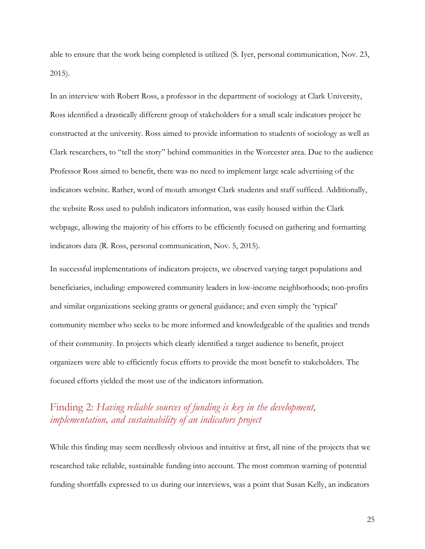able to ensure that the work being completed is utilized (S. Iyer, personal communication, Nov. 23, 2015).

In an interview with Robert Ross, a professor in the department of sociology at Clark University, Ross identified a drastically different group of stakeholders for a small scale indicators project he constructed at the university. Ross aimed to provide information to students of sociology as well as Clark researchers, to "tell the story" behind communities in the Worcester area. Due to the audience Professor Ross aimed to benefit, there was no need to implement large scale advertising of the indicators website. Rather, word of mouth amongst Clark students and staff sufficed. Additionally, the website Ross used to publish indicators information, was easily housed within the Clark webpage, allowing the majority of his efforts to be efficiently focused on gathering and formatting indicators data (R. Ross, personal communication, Nov. 5, 2015).

In successful implementations of indicators projects, we observed varying target populations and beneficiaries, including: empowered community leaders in low-income neighborhoods; non-profits and similar organizations seeking grants or general guidance; and even simply the 'typical' community member who seeks to be more informed and knowledgeable of the qualities and trends of their community. In projects which clearly identified a target audience to benefit, project organizers were able to efficiently focus efforts to provide the most benefit to stakeholders. The focused efforts yielded the most use of the indicators information.

### <span id="page-35-0"></span>Finding 2: *Having reliable sources of funding is key in the development, implementation, and sustainability of an indicators project*

While this finding may seem needlessly obvious and intuitive at first, all nine of the projects that we researched take reliable, sustainable funding into account. The most common warning of potential funding shortfalls expressed to us during our interviews, was a point that Susan Kelly, an indicators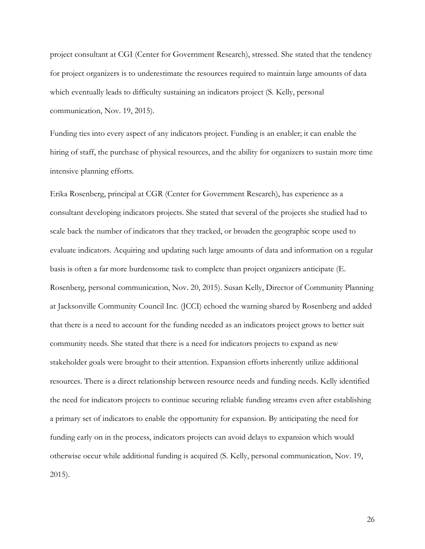project consultant at CGI (Center for Government Research), stressed. She stated that the tendency for project organizers is to underestimate the resources required to maintain large amounts of data which eventually leads to difficulty sustaining an indicators project (S. Kelly, personal communication, Nov. 19, 2015).

Funding ties into every aspect of any indicators project. Funding is an enabler; it can enable the hiring of staff, the purchase of physical resources, and the ability for organizers to sustain more time intensive planning efforts.

Erika Rosenberg, principal at CGR (Center for Government Research), has experience as a consultant developing indicators projects. She stated that several of the projects she studied had to scale back the number of indicators that they tracked, or broaden the geographic scope used to evaluate indicators. Acquiring and updating such large amounts of data and information on a regular basis is often a far more burdensome task to complete than project organizers anticipate (E. Rosenberg, personal communication, Nov. 20, 2015). Susan Kelly, Director of Community Planning at Jacksonville Community Council Inc. (JCCI) echoed the warning shared by Rosenberg and added that there is a need to account for the funding needed as an indicators project grows to better suit community needs. She stated that there is a need for indicators projects to expand as new stakeholder goals were brought to their attention. Expansion efforts inherently utilize additional resources. There is a direct relationship between resource needs and funding needs. Kelly identified the need for indicators projects to continue securing reliable funding streams even after establishing a primary set of indicators to enable the opportunity for expansion. By anticipating the need for funding early on in the process, indicators projects can avoid delays to expansion which would otherwise occur while additional funding is acquired (S. Kelly, personal communication, Nov. 19, 2015).

26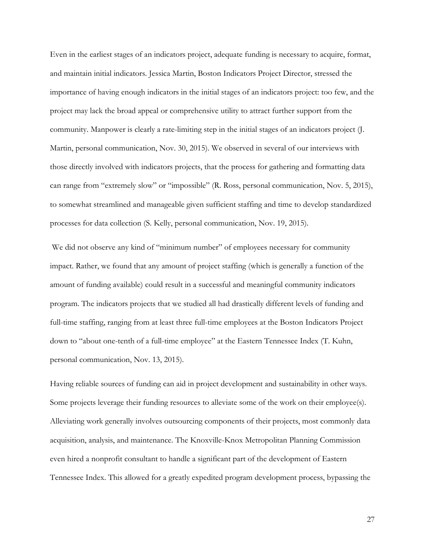Even in the earliest stages of an indicators project, adequate funding is necessary to acquire, format, and maintain initial indicators. Jessica Martin, Boston Indicators Project Director, stressed the importance of having enough indicators in the initial stages of an indicators project: too few, and the project may lack the broad appeal or comprehensive utility to attract further support from the community. Manpower is clearly a rate-limiting step in the initial stages of an indicators project (J. Martin, personal communication, Nov. 30, 2015). We observed in several of our interviews with those directly involved with indicators projects, that the process for gathering and formatting data can range from "extremely slow" or "impossible" (R. Ross, personal communication, Nov. 5, 2015), to somewhat streamlined and manageable given sufficient staffing and time to develop standardized processes for data collection (S. Kelly, personal communication, Nov. 19, 2015).

We did not observe any kind of "minimum number" of employees necessary for community impact. Rather, we found that any amount of project staffing (which is generally a function of the amount of funding available) could result in a successful and meaningful community indicators program. The indicators projects that we studied all had drastically different levels of funding and full-time staffing, ranging from at least three full-time employees at the Boston Indicators Project down to "about one-tenth of a full-time employee" at the Eastern Tennessee Index (T. Kuhn, personal communication, Nov. 13, 2015).

Having reliable sources of funding can aid in project development and sustainability in other ways. Some projects leverage their funding resources to alleviate some of the work on their employee(s). Alleviating work generally involves outsourcing components of their projects, most commonly data acquisition, analysis, and maintenance. The Knoxville-Knox Metropolitan Planning Commission even hired a nonprofit consultant to handle a significant part of the development of Eastern Tennessee Index. This allowed for a greatly expedited program development process, bypassing the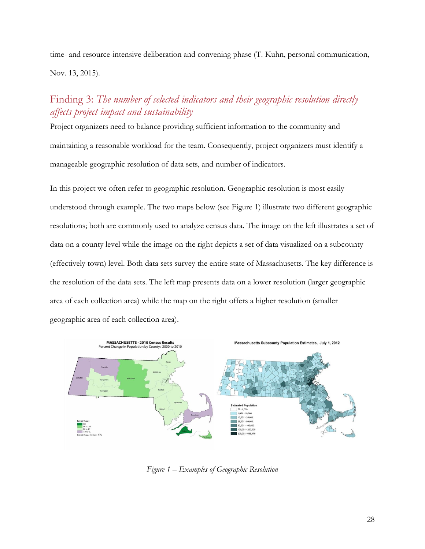time- and resource-intensive deliberation and convening phase (T. Kuhn, personal communication, Nov. 13, 2015).

### <span id="page-38-0"></span>Finding 3: *The number of selected indicators and their geographic resolution directly affects project impact and sustainability*

Project organizers need to balance providing sufficient information to the community and maintaining a reasonable workload for the team. Consequently, project organizers must identify a manageable geographic resolution of data sets, and number of indicators.

In this project we often refer to geographic resolution. Geographic resolution is most easily understood through example. The two maps below (see Figure 1) illustrate two different geographic resolutions; both are commonly used to analyze census data. The image on the left illustrates a set of data on a county level while the image on the right depicts a set of data visualized on a subcounty (effectively town) level. Both data sets survey the entire state of Massachusetts. The key difference is the resolution of the data sets. The left map presents data on a lower resolution (larger geographic area of each collection area) while the map on the right offers a higher resolution (smaller geographic area of each collection area).



*Figure 1 – Examples of Geographic Resolution*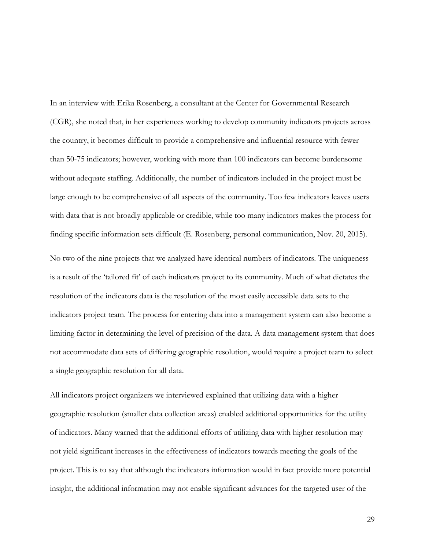In an interview with Erika Rosenberg, a consultant at the Center for Governmental Research (CGR), she noted that, in her experiences working to develop community indicators projects across the country, it becomes difficult to provide a comprehensive and influential resource with fewer than 50-75 indicators; however, working with more than 100 indicators can become burdensome without adequate staffing. Additionally, the number of indicators included in the project must be large enough to be comprehensive of all aspects of the community. Too few indicators leaves users with data that is not broadly applicable or credible, while too many indicators makes the process for finding specific information sets difficult (E. Rosenberg, personal communication, Nov. 20, 2015).

No two of the nine projects that we analyzed have identical numbers of indicators. The uniqueness is a result of the 'tailored fit' of each indicators project to its community. Much of what dictates the resolution of the indicators data is the resolution of the most easily accessible data sets to the indicators project team. The process for entering data into a management system can also become a limiting factor in determining the level of precision of the data. A data management system that does not accommodate data sets of differing geographic resolution, would require a project team to select a single geographic resolution for all data.

All indicators project organizers we interviewed explained that utilizing data with a higher geographic resolution (smaller data collection areas) enabled additional opportunities for the utility of indicators. Many warned that the additional efforts of utilizing data with higher resolution may not yield significant increases in the effectiveness of indicators towards meeting the goals of the project. This is to say that although the indicators information would in fact provide more potential insight, the additional information may not enable significant advances for the targeted user of the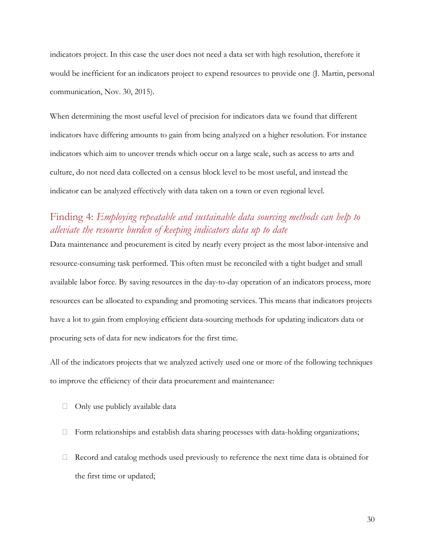indicators project. In this case the user does not need a data set with high resolution, therefore it would be inefficient for an indicators project to expend resources to provide one (J. Martin, personal communication, Nov. 30, 2015).

When determining the most useful level of precision for indicators data we found that different indicators have differing amounts to gain from being analyzed on a higher resolution. For instance indicators which aim to uncover trends which occur on a large scale, such as access to arts and culture, do not need data collected on a census block level to be most useful, and instead the indicator can be analyzed effectively with data taken on a town or even regional level.

### <span id="page-40-0"></span>Finding 4: *Employing repeatable and sustainable data sourcing methods can help to alleviate the resource burden of keeping indicators data up to date*

Data maintenance and procurement is cited by nearly every project as the most labor-intensive and resource-consuming task performed. This often must be reconciled with a tight budget and small available labor force. By saving resources in the day-to-day operation of an indicators process, more resources can be allocated to expanding and promoting services. This means that indicators projects have a lot to gain from employing efficient data-sourcing methods for updating indicators data or procuring sets of data for new indicators for the first time.

All of the indicators projects that we analyzed actively used one or more of the following techniques to improve the efficiency of their data procurement and maintenance:

- $\Box$  Only use publicly available data
- $\Box$  Form relationships and establish data sharing processes with data-holding organizations;
- $\Box$  Record and catalog methods used previously to reference the next time data is obtained for the first time or updated;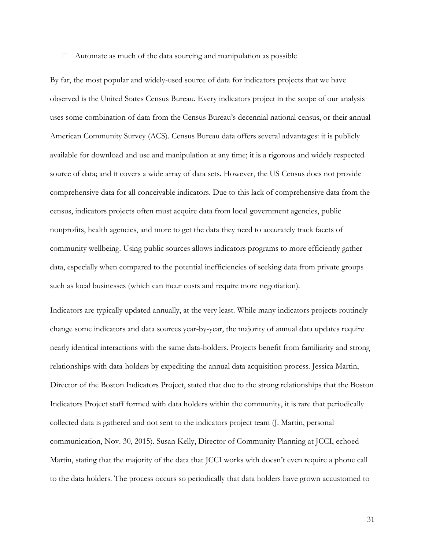#### $\Box$  Automate as much of the data sourcing and manipulation as possible

By far, the most popular and widely-used source of data for indicators projects that we have observed is the United States Census Bureau. Every indicators project in the scope of our analysis uses some combination of data from the Census Bureau's decennial national census, or their annual American Community Survey (ACS). Census Bureau data offers several advantages: it is publicly available for download and use and manipulation at any time; it is a rigorous and widely respected source of data; and it covers a wide array of data sets. However, the US Census does not provide comprehensive data for all conceivable indicators. Due to this lack of comprehensive data from the census, indicators projects often must acquire data from local government agencies, public nonprofits, health agencies, and more to get the data they need to accurately track facets of community wellbeing. Using public sources allows indicators programs to more efficiently gather data, especially when compared to the potential inefficiencies of seeking data from private groups such as local businesses (which can incur costs and require more negotiation).

Indicators are typically updated annually, at the very least. While many indicators projects routinely change some indicators and data sources year-by-year, the majority of annual data updates require nearly identical interactions with the same data-holders. Projects benefit from familiarity and strong relationships with data-holders by expediting the annual data acquisition process. Jessica Martin, Director of the Boston Indicators Project, stated that due to the strong relationships that the Boston Indicators Project staff formed with data holders within the community, it is rare that periodically collected data is gathered and not sent to the indicators project team (J. Martin, personal communication, Nov. 30, 2015). Susan Kelly, Director of Community Planning at JCCI, echoed Martin, stating that the majority of the data that JCCI works with doesn't even require a phone call to the data holders. The process occurs so periodically that data holders have grown accustomed to

31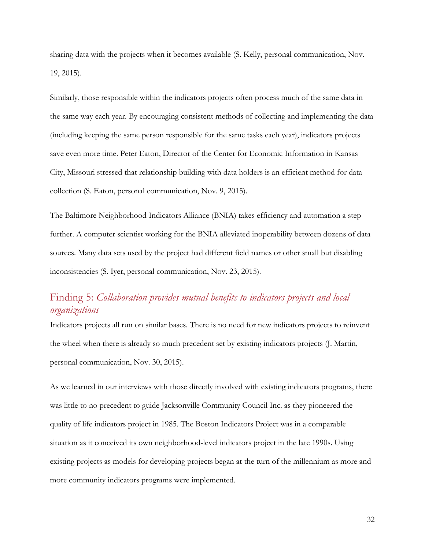sharing data with the projects when it becomes available (S. Kelly, personal communication, Nov. 19, 2015).

Similarly, those responsible within the indicators projects often process much of the same data in the same way each year. By encouraging consistent methods of collecting and implementing the data (including keeping the same person responsible for the same tasks each year), indicators projects save even more time. Peter Eaton, Director of the Center for Economic Information in Kansas City, Missouri stressed that relationship building with data holders is an efficient method for data collection (S. Eaton, personal communication, Nov. 9, 2015).

The Baltimore Neighborhood Indicators Alliance (BNIA) takes efficiency and automation a step further. A computer scientist working for the BNIA alleviated inoperability between dozens of data sources. Many data sets used by the project had different field names or other small but disabling inconsistencies (S. Iyer, personal communication, Nov. 23, 2015).

#### <span id="page-42-0"></span>Finding 5: *Collaboration provides mutual benefits to indicators projects and local organizations*

Indicators projects all run on similar bases. There is no need for new indicators projects to reinvent the wheel when there is already so much precedent set by existing indicators projects (J. Martin, personal communication, Nov. 30, 2015).

As we learned in our interviews with those directly involved with existing indicators programs, there was little to no precedent to guide Jacksonville Community Council Inc. as they pioneered the quality of life indicators project in 1985. The Boston Indicators Project was in a comparable situation as it conceived its own neighborhood-level indicators project in the late 1990s. Using existing projects as models for developing projects began at the turn of the millennium as more and more community indicators programs were implemented.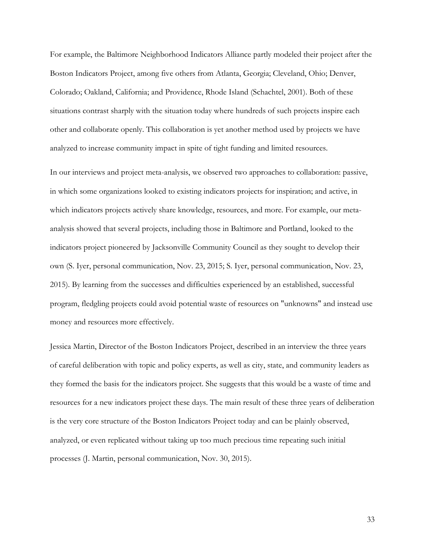For example, the Baltimore Neighborhood Indicators Alliance partly modeled their project after the Boston Indicators Project, among five others from Atlanta, Georgia; Cleveland, Ohio; Denver, Colorado; Oakland, California; and Providence, Rhode Island (Schachtel, 2001). Both of these situations contrast sharply with the situation today where hundreds of such projects inspire each other and collaborate openly. This collaboration is yet another method used by projects we have analyzed to increase community impact in spite of tight funding and limited resources.

In our interviews and project meta-analysis, we observed two approaches to collaboration: passive, in which some organizations looked to existing indicators projects for inspiration; and active, in which indicators projects actively share knowledge, resources, and more. For example, our metaanalysis showed that several projects, including those in Baltimore and Portland, looked to the indicators project pioneered by Jacksonville Community Council as they sought to develop their own (S. Iyer, personal communication, Nov. 23, 2015; S. Iyer, personal communication, Nov. 23, 2015). By learning from the successes and difficulties experienced by an established, successful program, fledgling projects could avoid potential waste of resources on "unknowns" and instead use money and resources more effectively.

Jessica Martin, Director of the Boston Indicators Project, described in an interview the three years of careful deliberation with topic and policy experts, as well as city, state, and community leaders as they formed the basis for the indicators project. She suggests that this would be a waste of time and resources for a new indicators project these days. The main result of these three years of deliberation is the very core structure of the Boston Indicators Project today and can be plainly observed, analyzed, or even replicated without taking up too much precious time repeating such initial processes (J. Martin, personal communication, Nov. 30, 2015).

33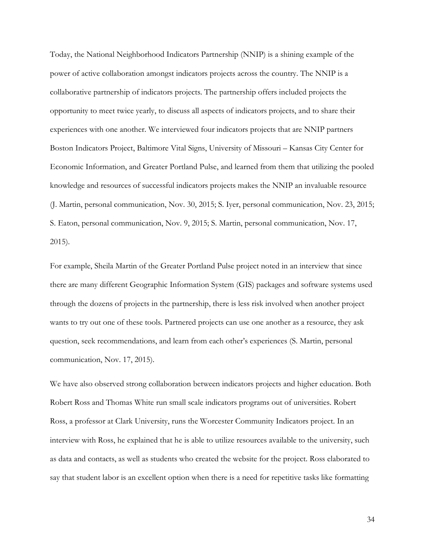Today, the National Neighborhood Indicators Partnership (NNIP) is a shining example of the power of active collaboration amongst indicators projects across the country. The NNIP is a collaborative partnership of indicators projects. The partnership offers included projects the opportunity to meet twice yearly, to discuss all aspects of indicators projects, and to share their experiences with one another. We interviewed four indicators projects that are NNIP partners Boston Indicators Project, Baltimore Vital Signs, University of Missouri – Kansas City Center for Economic Information, and Greater Portland Pulse, and learned from them that utilizing the pooled knowledge and resources of successful indicators projects makes the NNIP an invaluable resource (J. Martin, personal communication, Nov. 30, 2015; S. Iyer, personal communication, Nov. 23, 2015; S. Eaton, personal communication, Nov. 9, 2015; S. Martin, personal communication, Nov. 17, 2015).

For example, Sheila Martin of the Greater Portland Pulse project noted in an interview that since there are many different Geographic Information System (GIS) packages and software systems used through the dozens of projects in the partnership, there is less risk involved when another project wants to try out one of these tools. Partnered projects can use one another as a resource, they ask question, seek recommendations, and learn from each other's experiences (S. Martin, personal communication, Nov. 17, 2015).

We have also observed strong collaboration between indicators projects and higher education. Both Robert Ross and Thomas White run small scale indicators programs out of universities. Robert Ross, a professor at Clark University, runs the Worcester Community Indicators project. In an interview with Ross, he explained that he is able to utilize resources available to the university, such as data and contacts, as well as students who created the website for the project. Ross elaborated to say that student labor is an excellent option when there is a need for repetitive tasks like formatting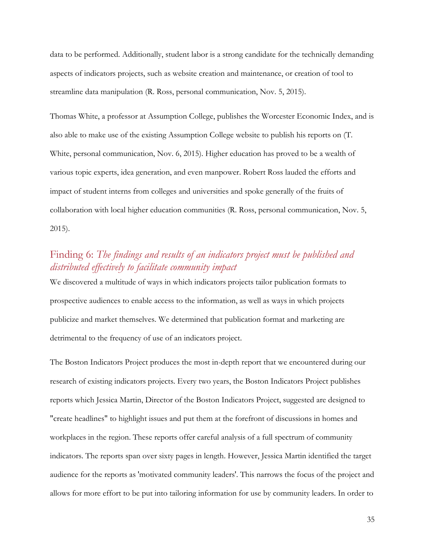data to be performed. Additionally, student labor is a strong candidate for the technically demanding aspects of indicators projects, such as website creation and maintenance, or creation of tool to streamline data manipulation (R. Ross, personal communication, Nov. 5, 2015).

Thomas White, a professor at Assumption College, publishes the Worcester Economic Index, and is also able to make use of the existing Assumption College website to publish his reports on (T. White, personal communication, Nov. 6, 2015). Higher education has proved to be a wealth of various topic experts, idea generation, and even manpower. Robert Ross lauded the efforts and impact of student interns from colleges and universities and spoke generally of the fruits of collaboration with local higher education communities (R. Ross, personal communication, Nov. 5, 2015).

### <span id="page-45-0"></span>Finding 6: *The findings and results of an indicators project must be published and distributed effectively to facilitate community impact*

We discovered a multitude of ways in which indicators projects tailor publication formats to prospective audiences to enable access to the information, as well as ways in which projects publicize and market themselves. We determined that publication format and marketing are detrimental to the frequency of use of an indicators project.

The Boston Indicators Project produces the most in-depth report that we encountered during our research of existing indicators projects. Every two years, the Boston Indicators Project publishes reports which Jessica Martin, Director of the Boston Indicators Project, suggested are designed to "create headlines" to highlight issues and put them at the forefront of discussions in homes and workplaces in the region. These reports offer careful analysis of a full spectrum of community indicators. The reports span over sixty pages in length. However, Jessica Martin identified the target audience for the reports as 'motivated community leaders'. This narrows the focus of the project and allows for more effort to be put into tailoring information for use by community leaders. In order to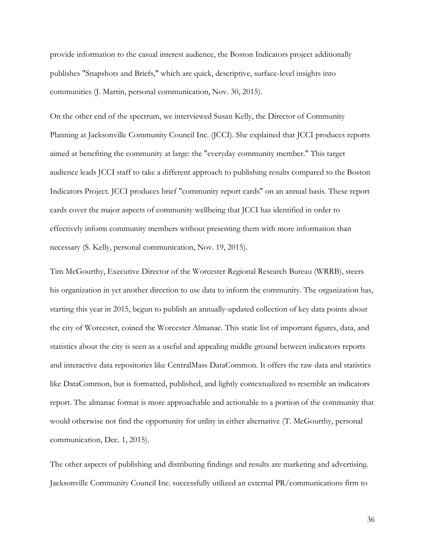provide information to the casual interest audience, the Boston Indicators project additionally publishes "Snapshots and Briefs," which are quick, descriptive, surface-level insights into communities (J. Martin, personal communication, Nov. 30, 2015).

On the other end of the spectrum, we interviewed Susan Kelly, the Director of Community Planning at Jacksonville Community Council Inc. (JCCI). She explained that JCCI produces reports aimed at benefiting the community at large: the "everyday community member." This target audience leads JCCI staff to take a different approach to publishing results compared to the Boston Indicators Project. JCCI produces brief "community report cards" on an annual basis. These report cards cover the major aspects of community wellbeing that JCCI has identified in order to effectively inform community members without presenting them with more information than necessary (S. Kelly, personal communication, Nov. 19, 2015).

Tim McGourthy, Executive Director of the Worcester Regional Research Bureau (WRRB), steers his organization in yet another direction to use data to inform the community. The organization has, starting this year in 2015, begun to publish an annually-updated collection of key data points about the city of Worcester, coined the Worcester Almanac. This static list of important figures, data, and statistics about the city is seen as a useful and appealing middle ground between indicators reports and interactive data repositories like CentralMass DataCommon. It offers the raw data and statistics like DataCommon, but is formatted, published, and lightly contextualized to resemble an indicators report. The almanac format is more approachable and actionable to a portion of the community that would otherwise not find the opportunity for utility in either alternative (T. McGourthy, personal communication, Dec. 1, 2015).

The other aspects of publishing and distributing findings and results are marketing and advertising. Jacksonville Community Council Inc. successfully utilized an external PR/communications firm to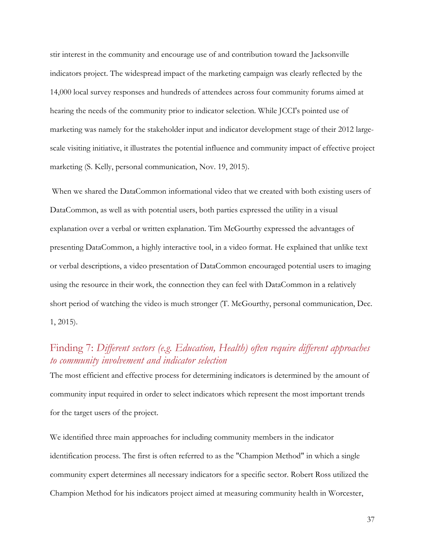stir interest in the community and encourage use of and contribution toward the Jacksonville indicators project. The widespread impact of the marketing campaign was clearly reflected by the 14,000 local survey responses and hundreds of attendees across four community forums aimed at hearing the needs of the community prior to indicator selection. While JCCI's pointed use of marketing was namely for the stakeholder input and indicator development stage of their 2012 largescale visiting initiative, it illustrates the potential influence and community impact of effective project marketing (S. Kelly, personal communication, Nov. 19, 2015).

When we shared the DataCommon informational video that we created with both existing users of DataCommon, as well as with potential users, both parties expressed the utility in a visual explanation over a verbal or written explanation. Tim McGourthy expressed the advantages of presenting DataCommon, a highly interactive tool, in a video format. He explained that unlike text or verbal descriptions, a video presentation of DataCommon encouraged potential users to imaging using the resource in their work, the connection they can feel with DataCommon in a relatively short period of watching the video is much stronger (T. McGourthy, personal communication, Dec. 1, 2015).

### <span id="page-47-0"></span>Finding 7: *Different sectors (e.g. Education, Health) often require different approaches to community involvement and indicator selection*

The most efficient and effective process for determining indicators is determined by the amount of community input required in order to select indicators which represent the most important trends for the target users of the project.

We identified three main approaches for including community members in the indicator identification process. The first is often referred to as the "Champion Method" in which a single community expert determines all necessary indicators for a specific sector. Robert Ross utilized the Champion Method for his indicators project aimed at measuring community health in Worcester,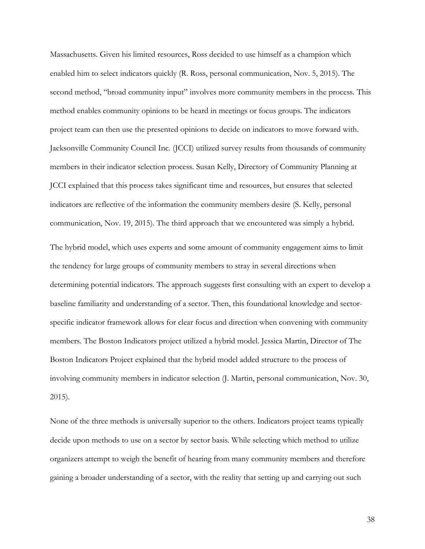Massachusetts. Given his limited resources, Ross decided to use himself as a champion which enabled him to select indicators quickly (R. Ross, personal communication, Nov. 5, 2015). The second method, "broad community input" involves more community members in the process. This method enables community opinions to be heard in meetings or focus groups. The indicators project team can then use the presented opinions to decide on indicators to move forward with. Jacksonville Community Council Inc. (JCCI) utilized survey results from thousands of community members in their indicator selection process. Susan Kelly, Directory of Community Planning at JCCI explained that this process takes significant time and resources, but ensures that selected indicators are reflective of the information the community members desire (S. Kelly, personal communication, Nov. 19, 2015). The third approach that we encountered was simply a hybrid.

The hybrid model, which uses experts and some amount of community engagement aims to limit the tendency for large groups of community members to stray in several directions when determining potential indicators. The approach suggests first consulting with an expert to develop a baseline familiarity and understanding of a sector. Then, this foundational knowledge and sectorspecific indicator framework allows for clear focus and direction when convening with community members. The Boston Indicators project utilized a hybrid model. Jessica Martin, Director of The Boston Indicators Project explained that the hybrid model added structure to the process of involving community members in indicator selection (J. Martin, personal communication, Nov. 30, 2015).

None of the three methods is universally superior to the others. Indicators project teams typically decide upon methods to use on a sector by sector basis. While selecting which method to utilize organizers attempt to weigh the benefit of hearing from many community members and therefore gaining a broader understanding of a sector, with the reality that setting up and carrying out such

38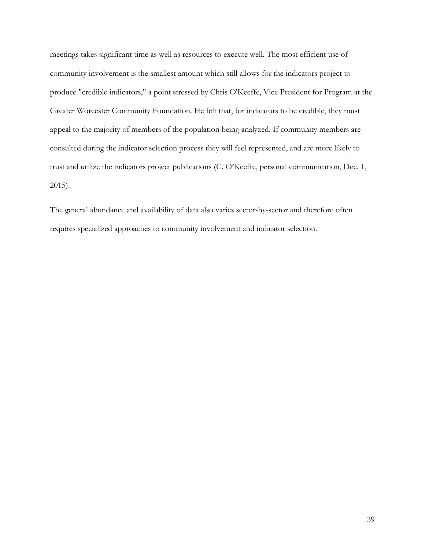meetings takes significant time as well as resources to execute well. The most efficient use of community involvement is the smallest amount which still allows for the indicators project to produce "credible indicators," a point stressed by Chris O'Keeffe, Vice President for Program at the Greater Worcester Community Foundation. He felt that, for indicators to be credible, they must appeal to the majority of members of the population being analyzed. If community members are consulted during the indicator selection process they will feel represented, and are more likely to trust and utilize the indicators project publications (C. O'Keeffe, personal communication, Dec. 1, 2015).

The general abundance and availability of data also varies sector-by-sector and therefore often requires specialized approaches to community involvement and indicator selection.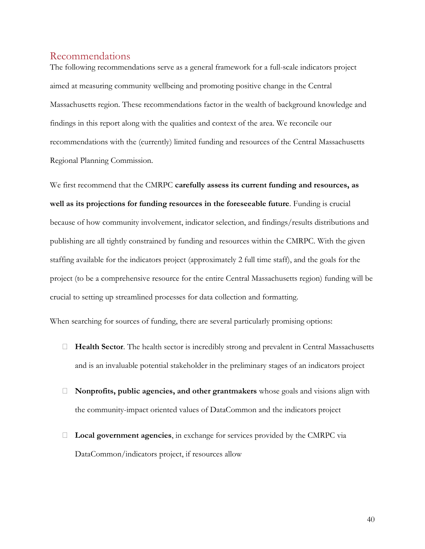#### <span id="page-50-0"></span>Recommendations

The following recommendations serve as a general framework for a full-scale indicators project aimed at measuring community wellbeing and promoting positive change in the Central Massachusetts region. These recommendations factor in the wealth of background knowledge and findings in this report along with the qualities and context of the area. We reconcile our recommendations with the (currently) limited funding and resources of the Central Massachusetts Regional Planning Commission.

We first recommend that the CMRPC **carefully assess its current funding and resources, as well as its projections for funding resources in the foreseeable future**. Funding is crucial because of how community involvement, indicator selection, and findings/results distributions and publishing are all tightly constrained by funding and resources within the CMRPC. With the given staffing available for the indicators project (approximately 2 full time staff), and the goals for the project (to be a comprehensive resource for the entire Central Massachusetts region) funding will be crucial to setting up streamlined processes for data collection and formatting.

When searching for sources of funding, there are several particularly promising options:

- **Health Sector**. The health sector is incredibly strong and prevalent in Central Massachusetts and is an invaluable potential stakeholder in the preliminary stages of an indicators project
- **Nonprofits, public agencies, and other grantmakers** whose goals and visions align with the community-impact oriented values of DataCommon and the indicators project
- **Local government agencies**, in exchange for services provided by the CMRPC via DataCommon/indicators project, if resources allow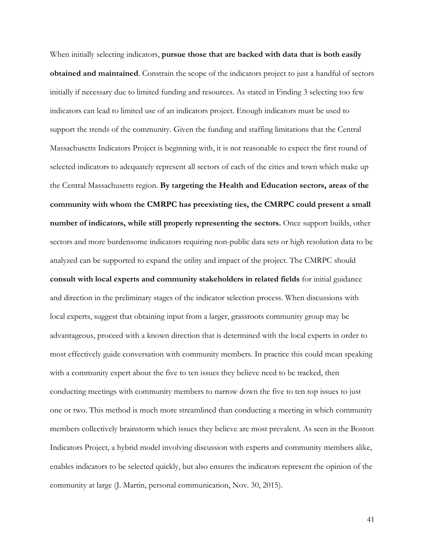When initially selecting indicators, **pursue those that are backed with data that is both easily obtained and maintained**. Constrain the scope of the indicators project to just a handful of sectors initially if necessary due to limited funding and resources. As stated in Finding 3 selecting too few indicators can lead to limited use of an indicators project. Enough indicators must be used to support the trends of the community. Given the funding and staffing limitations that the Central Massachusetts Indicators Project is beginning with, it is not reasonable to expect the first round of selected indicators to adequately represent all sectors of each of the cities and town which make up the Central Massachusetts region. **By targeting the Health and Education sectors, areas of the community with whom the CMRPC has preexisting ties, the CMRPC could present a small number of indicators, while still properly representing the sectors.** Once support builds, other sectors and more burdensome indicators requiring non-public data sets or high resolution data to be analyzed can be supported to expand the utility and impact of the project. The CMRPC should **consult with local experts and community stakeholders in related fields** for initial guidance and direction in the preliminary stages of the indicator selection process. When discussions with local experts, suggest that obtaining input from a larger, grassroots community group may be advantageous, proceed with a known direction that is determined with the local experts in order to most effectively guide conversation with community members. In practice this could mean speaking with a community expert about the five to ten issues they believe need to be tracked, then conducting meetings with community members to narrow down the five to ten top issues to just one or two. This method is much more streamlined than conducting a meeting in which community members collectively brainstorm which issues they believe are most prevalent. As seen in the Boston Indicators Project, a hybrid model involving discussion with experts and community members alike, enables indicators to be selected quickly, but also ensures the indicators represent the opinion of the community at large (J. Martin, personal communication, Nov. 30, 2015).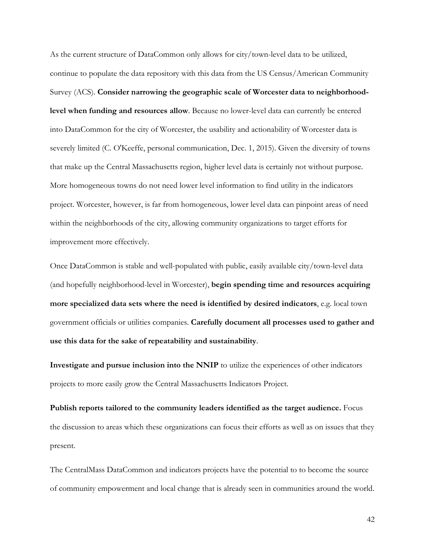As the current structure of DataCommon only allows for city/town-level data to be utilized, continue to populate the data repository with this data from the US Census/American Community Survey (ACS). **Consider narrowing the geographic scale of Worcester data to neighborhoodlevel when funding and resources allow**. Because no lower-level data can currently be entered into DataCommon for the city of Worcester, the usability and actionability of Worcester data is severely limited (C. O'Keeffe, personal communication, Dec. 1, 2015). Given the diversity of towns that make up the Central Massachusetts region, higher level data is certainly not without purpose. More homogeneous towns do not need lower level information to find utility in the indicators project. Worcester, however, is far from homogeneous, lower level data can pinpoint areas of need within the neighborhoods of the city, allowing community organizations to target efforts for improvement more effectively.

Once DataCommon is stable and well-populated with public, easily available city/town-level data (and hopefully neighborhood-level in Worcester), **begin spending time and resources acquiring more specialized data sets where the need is identified by desired indicators**, e.g. local town government officials or utilities companies. **Carefully document all processes used to gather and use this data for the sake of repeatability and sustainability**.

**Investigate and pursue inclusion into the NNIP** to utilize the experiences of other indicators projects to more easily grow the Central Massachusetts Indicators Project.

**Publish reports tailored to the community leaders identified as the target audience.** Focus the discussion to areas which these organizations can focus their efforts as well as on issues that they present.

The CentralMass DataCommon and indicators projects have the potential to to become the source of community empowerment and local change that is already seen in communities around the world.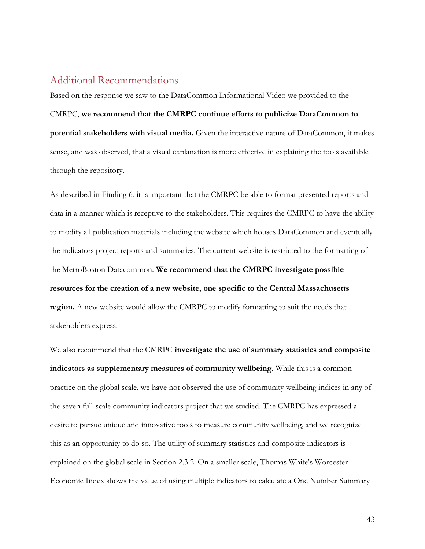#### <span id="page-53-0"></span>Additional Recommendations

Based on the response we saw to the DataCommon Informational Video we provided to the CMRPC, **we recommend that the CMRPC continue efforts to publicize DataCommon to potential stakeholders with visual media.** Given the interactive nature of DataCommon, it makes sense, and was observed, that a visual explanation is more effective in explaining the tools available through the repository.

As described in Finding 6, it is important that the CMRPC be able to format presented reports and data in a manner which is receptive to the stakeholders. This requires the CMRPC to have the ability to modify all publication materials including the website which houses DataCommon and eventually the indicators project reports and summaries. The current website is restricted to the formatting of the MetroBoston Datacommon. **We recommend that the CMRPC investigate possible resources for the creation of a new website, one specific to the Central Massachusetts region.** A new website would allow the CMRPC to modify formatting to suit the needs that stakeholders express.

We also recommend that the CMRPC **investigate the use of summary statistics and composite indicators as supplementary measures of community wellbeing**. While this is a common practice on the global scale, we have not observed the use of community wellbeing indices in any of the seven full-scale community indicators project that we studied. The CMRPC has expressed a desire to pursue unique and innovative tools to measure community wellbeing, and we recognize this as an opportunity to do so. The utility of summary statistics and composite indicators is explained on the global scale in Section 2.3.2. On a smaller scale, Thomas White's Worcester Economic Index shows the value of using multiple indicators to calculate a One Number Summary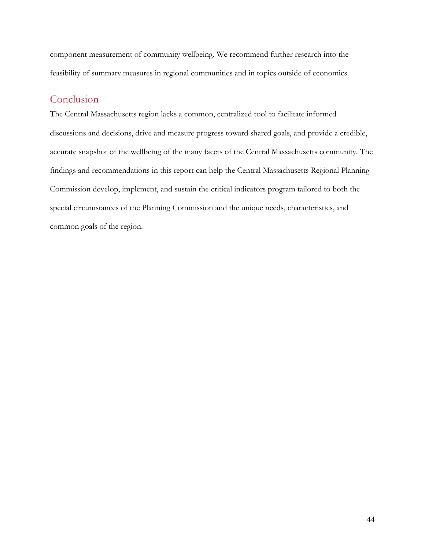component measurement of community wellbeing. We recommend further research into the feasibility of summary measures in regional communities and in topics outside of economics.

### <span id="page-54-0"></span>Conclusion

The Central Massachusetts region lacks a common, centralized tool to facilitate informed discussions and decisions, drive and measure progress toward shared goals, and provide a credible, accurate snapshot of the wellbeing of the many facets of the Central Massachusetts community. The findings and recommendations in this report can help the Central Massachusetts Regional Planning Commission develop, implement, and sustain the critical indicators program tailored to both the special circumstances of the Planning Commission and the unique needs, characteristics, and common goals of the region.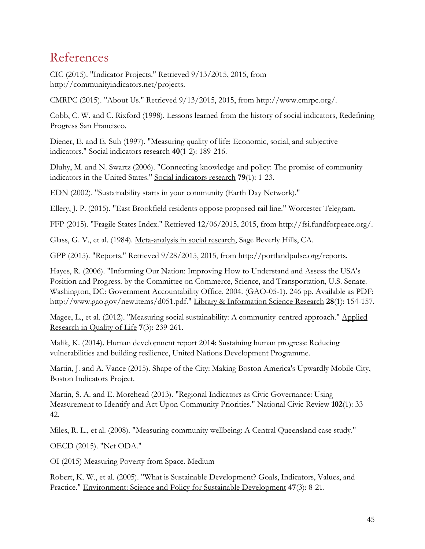# <span id="page-55-0"></span>References

CIC (2015). "Indicator Projects." Retrieved 9/13/2015, 2015, from http://communityindicators.net/projects.

CMRPC (2015). "About Us." Retrieved 9/13/2015, 2015, from http://www.cmrpc.org/.

Cobb, C. W. and C. Rixford (1998). Lessons learned from the history of social indicators, Redefining Progress San Francisco.

Diener, E. and E. Suh (1997). "Measuring quality of life: Economic, social, and subjective indicators." Social indicators research **40**(1-2): 189-216.

Dluhy, M. and N. Swartz (2006). "Connecting knowledge and policy: The promise of community indicators in the United States." Social indicators research **79**(1): 1-23.

EDN (2002). "Sustainability starts in your community (Earth Day Network)."

Ellery, J. P. (2015). "East Brookfield residents oppose proposed rail line." Worcester Telegram.

FFP (2015). "Fragile States Index." Retrieved 12/06/2015, 2015, from http://fsi.fundforpeace.org/.

Glass, G. V., et al. (1984). Meta-analysis in social research, Sage Beverly Hills, CA.

GPP (2015). "Reports." Retrieved 9/28/2015, 2015, from http://portlandpulse.org/reports.

Hayes, R. (2006). "Informing Our Nation: Improving How to Understand and Assess the USA's Position and Progress. by the Committee on Commerce, Science, and Transportation, U.S. Senate. Washington, DC: Government Accountability Office, 2004. (GAO-05-1). 246 pp. Available as PDF: http://www.gao.gov/new.items/d051.pdf." Library & Information Science Research **28**(1): 154-157.

Magee, L., et al. (2012). "Measuring social sustainability: A community-centred approach." Applied Research in Quality of Life **7**(3): 239-261.

Malik, K. (2014). Human development report 2014: Sustaining human progress: Reducing vulnerabilities and building resilience, United Nations Development Programme.

Martin, J. and A. Vance (2015). Shape of the City: Making Boston America's Upwardly Mobile City, Boston Indicators Project.

Martin, S. A. and E. Morehead (2013). "Regional Indicators as Civic Governance: Using Measurement to Identify and Act Upon Community Priorities." National Civic Review **102**(1): 33- 42.

Miles, R. L., et al. (2008). "Measuring community wellbeing: A Central Queensland case study."

OECD (2015). "Net ODA."

OI (2015) Measuring Poverty from Space. Medium

Robert, K. W., et al. (2005). "What is Sustainable Development? Goals, Indicators, Values, and Practice." Environment: Science and Policy for Sustainable Development **47**(3): 8-21.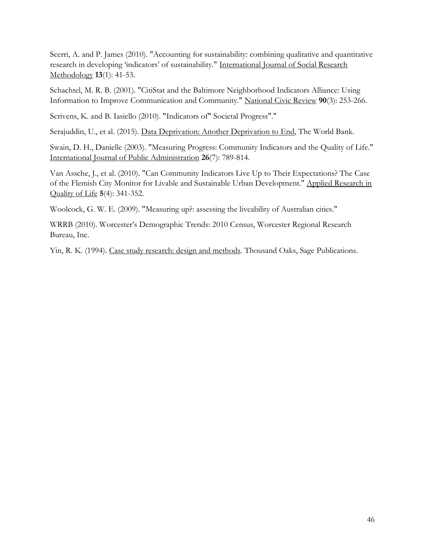Scerri, A. and P. James (2010). "Accounting for sustainability: combining qualitative and quantitative research in developing 'indicators' of sustainability." International Journal of Social Research Methodology **13**(1): 41-53.

Schachtel, M. R. B. (2001). "CitiStat and the Baltimore Neighborhood Indicators Alliance: Using Information to Improve Communication and Community." National Civic Review **90**(3): 253-266.

Scrivens, K. and B. Iasiello (2010). "Indicators of" Societal Progress"."

Serajuddin, U., et al. (2015). Data Deprivation: Another Deprivation to End, The World Bank.

Swain, D. H., Danielle (2003). "Measuring Progress: Community Indicators and the Quality of Life." International Journal of Public Administration **26**(7): 789-814.

Van Assche, J., et al. (2010). "Can Community Indicators Live Up to Their Expectations? The Case of the Flemish City Monitor for Livable and Sustainable Urban Development." Applied Research in Quality of Life **5**(4): 341-352.

Woolcock, G. W. E. (2009). "Measuring up?: assessing the liveability of Australian cities."

WRRB (2010). Worcester's Demographic Trends: 2010 Census, Worcester Regional Research Bureau, Inc.

Yin, R. K. (1994). Case study research: design and methods. Thousand Oaks, Sage Publications.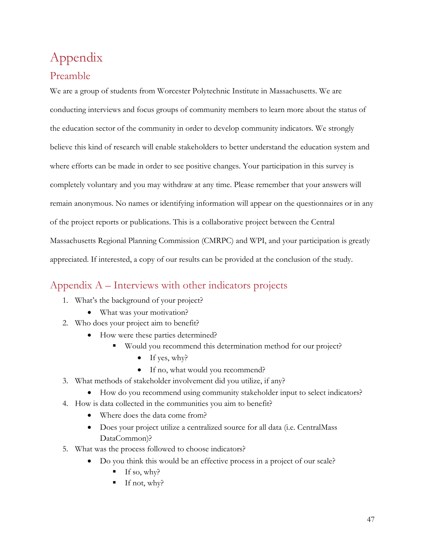# <span id="page-57-0"></span>Appendix

### <span id="page-57-1"></span>Preamble

We are a group of students from Worcester Polytechnic Institute in Massachusetts. We are conducting interviews and focus groups of community members to learn more about the status of the education sector of the community in order to develop community indicators. We strongly believe this kind of research will enable stakeholders to better understand the education system and where efforts can be made in order to see positive changes. Your participation in this survey is completely voluntary and you may withdraw at any time. Please remember that your answers will remain anonymous. No names or identifying information will appear on the questionnaires or in any of the project reports or publications. This is a collaborative project between the Central Massachusetts Regional Planning Commission (CMRPC) and WPI, and your participation is greatly appreciated. If interested, a copy of our results can be provided at the conclusion of the study.

## <span id="page-57-2"></span>Appendix A – Interviews with other indicators projects

- 1. What's the background of your project?
	- What was your motivation?
- 2. Who does your project aim to benefit?
	- How were these parties determined?
		- Would you recommend this determination method for our project?
			- $\bullet$  If yes, why?
			- If no, what would you recommend?
- 3. What methods of stakeholder involvement did you utilize, if any?
	- How do you recommend using community stakeholder input to select indicators?
- 4. How is data collected in the communities you aim to benefit?
	- Where does the data come from?
	- Does your project utilize a centralized source for all data (i.e. CentralMass DataCommon)?
- 5. What was the process followed to choose indicators?
	- Do you think this would be an effective process in a project of our scale?
		- If so, why?
		- If not, why?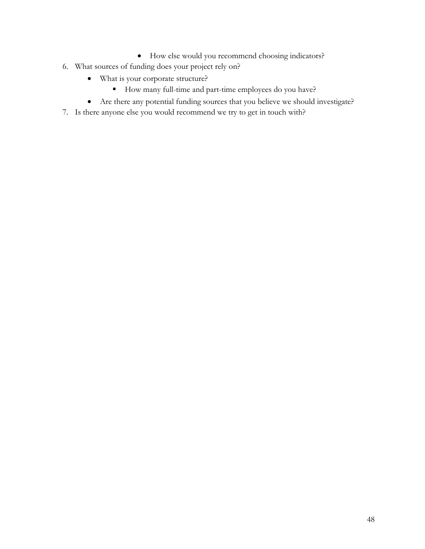- How else would you recommend choosing indicators?
- 6. What sources of funding does your project rely on?
	- What is your corporate structure?
		- How many full-time and part-time employees do you have?
	- Are there any potential funding sources that you believe we should investigate?
- 7. Is there anyone else you would recommend we try to get in touch with?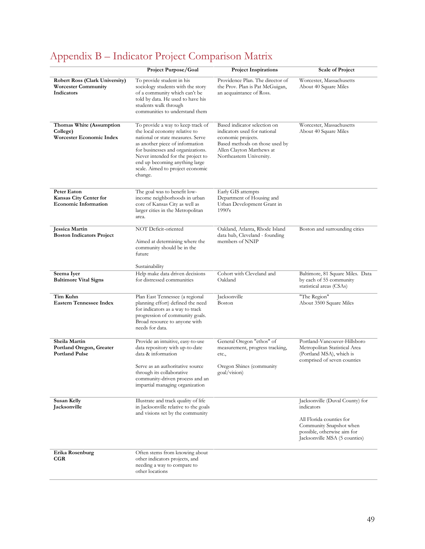# <span id="page-59-0"></span>Appendix B – Indicator Project Comparison Matrix

|                                                                                   | Project Purpose/Goal                                                                                                                                                                                                                                                                                  | <b>Project Inspirations</b>                                                                                                                                                   | <b>Scale of Project</b>                                                                                                                                              |
|-----------------------------------------------------------------------------------|-------------------------------------------------------------------------------------------------------------------------------------------------------------------------------------------------------------------------------------------------------------------------------------------------------|-------------------------------------------------------------------------------------------------------------------------------------------------------------------------------|----------------------------------------------------------------------------------------------------------------------------------------------------------------------|
| <b>Robert Ross (Clark University)</b><br><b>Worcester Community</b><br>Indicators | To provide student in his<br>sociology students with the story<br>of a community which can't be<br>told by data. He used to have his<br>students walk through<br>communities to understand them                                                                                                       | Providence Plan. The director of<br>the Prov. Plan is Pat McGuigan,<br>an acquaintance of Ross.                                                                               | Worcester, Massachusetts<br>About 40 Square Miles                                                                                                                    |
| Thomas White (Assumption<br>College)<br>Worcester Economic Index                  | To provide a way to keep track of<br>the local economy relative to<br>national or state measures. Serve<br>as another piece of information<br>for businesses and organizations.<br>Never intended for the project to<br>end up becoming anything large<br>scale. Aimed to project economic<br>change. | Based indicator selection on<br>indicators used for national<br>economic projects.<br>Based methods on those used by<br>Allen Clayton Matthews at<br>Northeastern University. | Worcester, Massachusetts<br>About 40 Square Miles                                                                                                                    |
| Peter Eaton<br>Kansas City Center for<br><b>Economic Information</b>              | The goal was to benefit low-<br>income neighborhoods in urban<br>core of Kansas City as well as<br>larger cities in the Metropolitan<br>area.                                                                                                                                                         | Early GIS attempts<br>Department of Housing and<br>Urban Development Grant in<br>1990's                                                                                       |                                                                                                                                                                      |
| <b>Jessica Martin</b><br><b>Boston Indicators Project</b>                         | NOT Deficit-oriented<br>Aimed at determining where the<br>community should be in the<br>future                                                                                                                                                                                                        | Oakland, Atlanta, Rhode Island<br>data hub, Cleveland - founding<br>members of NNIP                                                                                           | Boston and surrounding cities                                                                                                                                        |
| Seema Iyer<br><b>Baltimore Vital Signs</b>                                        | Sustainability<br>Help make data driven decisions<br>for distressed communities                                                                                                                                                                                                                       | Cohort with Cleveland and<br>Oakland                                                                                                                                          | Baltimore, 81 Square Miles. Data<br>by each of 55 community<br>statistical areas (CSAs)                                                                              |
| Tim Kuhn<br><b>Eastern Tennessee Index</b>                                        | Plan East Tennessee (a regional<br>planning effort) defined the need<br>for indicators as a way to track<br>progression of community goals.<br>Broad resource to anyone with<br>needs for data.                                                                                                       | Jacksonville<br>Boston                                                                                                                                                        | "The Region"<br>About 3500 Square Miles                                                                                                                              |
| Sheila Martin<br>Portland Oregon, Greater<br><b>Portland Pulse</b>                | Provide an intuitive, easy-to-use<br>data repository with up-to-date<br>data & information                                                                                                                                                                                                            | General Oregon "ethos" of<br>measurement, progress tracking,<br>etc.,                                                                                                         | Portland-Vancouver-Hillsboro<br>Metropolitan Statistical Area<br>(Portland MSA), which is<br>comprised of seven counties                                             |
|                                                                                   | Serve as an authoritative source<br>through its collaborative<br>community-driven process and an<br>impartial managing organization                                                                                                                                                                   | Oregon Shines (community<br>goal/vision)                                                                                                                                      |                                                                                                                                                                      |
| <b>Susan Kelly</b><br>Jacksonville                                                | Illustrate and track quality of life<br>in Jacksonville relative to the goals<br>and visions set by the community                                                                                                                                                                                     |                                                                                                                                                                               | Jacksonville (Duval County) for<br>indicators<br>All Florida counties for<br>Community Snapshot when<br>possible, otherwise aim for<br>Jacksonville MSA (5 counties) |
| Erika Rosenburg<br>CGR                                                            | Often stems from knowing about<br>other indicators projects, and<br>needing a way to compare to<br>other locations                                                                                                                                                                                    |                                                                                                                                                                               |                                                                                                                                                                      |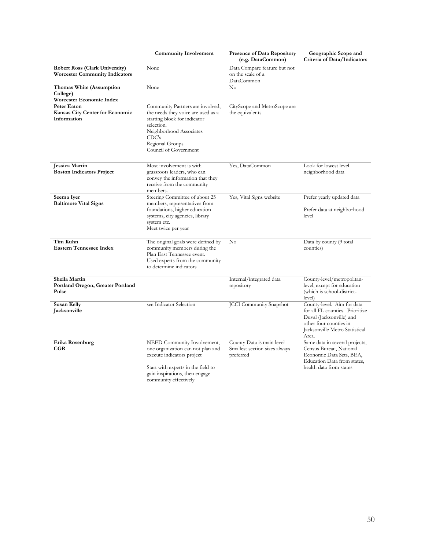|                                                                                | <b>Community Involvement</b>                                                                                                                                                                         | <b>Presence of Data Repository</b><br>(e.g. DataCommon)                 | Geographic Scope and<br>Criteria of Data/Indicators                                                                                                            |
|--------------------------------------------------------------------------------|------------------------------------------------------------------------------------------------------------------------------------------------------------------------------------------------------|-------------------------------------------------------------------------|----------------------------------------------------------------------------------------------------------------------------------------------------------------|
| <b>Robert Ross (Clark University)</b><br><b>Worcester Community Indicators</b> | None                                                                                                                                                                                                 | Data Compare feature but not<br>on the scale of a<br>DataCommon         |                                                                                                                                                                |
| Thomas White (Assumption<br>College)<br>Worcester Economic Index               | None                                                                                                                                                                                                 | No                                                                      |                                                                                                                                                                |
| <b>Peter Eaton</b><br>Kansas City Center for Economic<br>Information           | Community Partners are involved,<br>the needs they voice are used as a<br>starting block for indicator<br>selection.<br>Neighborhood Associates<br>CDC's<br>Regional Groups<br>Council of Government | CityScope and MetroScope are<br>the equivalents                         |                                                                                                                                                                |
| <b>Jessica Martin</b><br><b>Boston Indicators Project</b>                      | Most involvement is with<br>grassroots leaders, who can<br>convey the information that they<br>receive from the community<br>members.                                                                | Yes, DataCommon                                                         | Look for lowest level<br>neighborhood data                                                                                                                     |
| Seema Iver<br><b>Baltimore Vital Signs</b>                                     | Steering Committee of about 25<br>members, representatives from<br>foundations, higher education<br>systems, city agencies, library<br>system etc.<br>Meet twice per year                            | Yes, Vital Signs website                                                | Prefer yearly updated data<br>Prefer data at neighborhood<br>level                                                                                             |
| Tim Kuhn<br><b>Eastern Tennessee Index</b>                                     | The original goals were defined by<br>community members during the<br>Plan East Tennessee event.<br>Used experts from the community<br>to determine indicators                                       | No                                                                      | Data by county (9 total<br>counties)                                                                                                                           |
| Sheila Martin<br>Portland Oregon, Greater Portland<br>Pulse                    |                                                                                                                                                                                                      | Internal/integrated data<br>repository                                  | County-level/metropolitan-<br>level, except for education<br>(which is school-district-<br>level)                                                              |
| Susan Kelly<br>Jacksonville                                                    | see Indicator Selection                                                                                                                                                                              | <b>JCCI</b> Community Snapshot                                          | County-level. Aim for data<br>for all FL counties. Prioritize<br>Duval (Jacksonville) and<br>other four counties in<br>Jacksonville Metro Statistical<br>Area. |
| Erika Rosenburg<br>CGR                                                         | NEED Community Involvement,<br>one organization can not plan and<br>execute indicators project<br>Start with experts in the field to<br>gain inspirations, then engage<br>community effectively      | County Data is main level<br>Smallest section sizes always<br>preferred | Same data in several projects,<br>Census Bureau, National<br>Economic Data Sets, BEA,<br>Education Data from states,<br>health data from states                |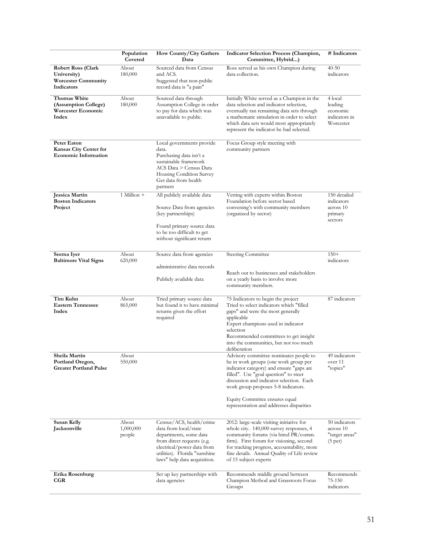|                                                                                      | Population<br>Covered        | How County/City Gathers<br>Data                                                                                                                                                                          | <b>Indicator Selection Process (Champion,</b><br>Committee, Hybrid)                                                                                                                                                                                                                                                                   | # Indicators                                                        |
|--------------------------------------------------------------------------------------|------------------------------|----------------------------------------------------------------------------------------------------------------------------------------------------------------------------------------------------------|---------------------------------------------------------------------------------------------------------------------------------------------------------------------------------------------------------------------------------------------------------------------------------------------------------------------------------------|---------------------------------------------------------------------|
| <b>Robert Ross (Clark</b><br>University)<br><b>Worcester Community</b><br>Indicators | About<br>180,000             | Sourced data from Census<br>and ACS.<br>Suggested that non-public<br>record data is "a pain"                                                                                                             | Ross served as his own Champion during<br>data collection.                                                                                                                                                                                                                                                                            | $40 - 50$<br>indicators                                             |
| Thomas White<br>(Assumption College)<br><b>Worcester Economic</b><br>Index           | About<br>180,000             | Sourced data through<br>Assumption College in order<br>to pay for data which was<br>unavailable to public.                                                                                               | Initially White served as a Champion in the<br>data selection and indicator selection,<br>eventually ran remaining data sets through<br>a mathematic simulation in order to select<br>which data sets would most appropriately<br>represent the indicator he had selected.                                                            | 4 local<br>leading<br>economic<br>indicators in<br>Worcester        |
| Peter Eaton<br>Kansas City Center for<br><b>Economic Information</b>                 |                              | Local governments provide<br>data.<br>Purchasing data isn't a<br>sustainable framework<br>ACS Data > Census Data<br>Housing Condition Survey<br>Get data from health<br>partners                         | Focus Group style meeting with<br>community partners                                                                                                                                                                                                                                                                                  |                                                                     |
| <b>Jessica Martin</b><br><b>Boston Indicators</b><br>Project                         | $1$ Million $+$              | All publicly available data<br>Source Data from agencies<br>(key partnerships)<br>Found primary source data<br>to be too difficult to get<br>without significant return                                  | Vetting with experts within Boston<br>Foundation before sector based<br>convening's with community members<br>(organized by sector)                                                                                                                                                                                                   | 150 detailed<br>indicators<br>across 10<br>primary<br>sectors       |
| Seema Iyer<br><b>Baltimore Vital Signs</b>                                           | About<br>620,000             | Source data from agencies<br>administrative data records<br>Publicly available data                                                                                                                      | <b>Steering Committee</b><br>Reach out to businesses and stakeholders<br>on a yearly basis to involve more<br>community members.                                                                                                                                                                                                      | $150+$<br>indicators                                                |
| Tim Kuhn<br><b>Eastern Tennessee</b><br>Index                                        | About<br>865,000             | Tried primary source data<br>but found it to have minimal<br>returns given the effort<br>required                                                                                                        | 75 Indicators to begin the project<br>Tried to select indicators which "filled<br>gaps" and were the most generally<br>applicable<br>Expert champions used in indicator<br>selection<br>Recommended committees to get insight<br>into the communities, but not too much<br>deliberation                                               | 87 indicators                                                       |
| Sheila Martin<br>Portland Oregon,<br><b>Greater Portland Pulse</b>                   | About<br>550,000             |                                                                                                                                                                                                          | Advisory committee nominates people to<br>be in work groups (one work group per<br>indicator category) and ensure "gaps are<br>filled". Use "goal question" to steer<br>discussion and indicator selection. Each<br>work group proposes 5-8 indicators.<br>Equity Committee ensures equal<br>representation and addresses disparities | 49 indicators<br>over 11<br>"topics"                                |
| Susan Kelly<br>Jacksonville                                                          | About<br>1,000,000<br>people | Census/ACS, health/crime<br>data from local/state<br>departments, some data<br>from direct requests (e.g.<br>electrical/power data from<br>utilities). Florida "sunshine<br>laws" help data acquisition. | 2012: large-scale visiting initiative for<br>whole city. 140,000 survey responses, 4<br>community forums (via hired PR/comm.<br>firm). First forum for visioning, second<br>for tracking progress, accountability, more<br>fine details. Annual Quality of Life review<br>of 15 subject experts                                       | 50 indicators<br>across 10<br>"target areas"<br>(5 <sub>per</sub> ) |
| Erika Rosenburg<br>CGR                                                               |                              | Set up key partnerships with<br>data agencies                                                                                                                                                            | Recommends middle ground between<br>Champion Method and Grassroots Focus<br>Groups                                                                                                                                                                                                                                                    | Recommends<br>75-150<br>indicators                                  |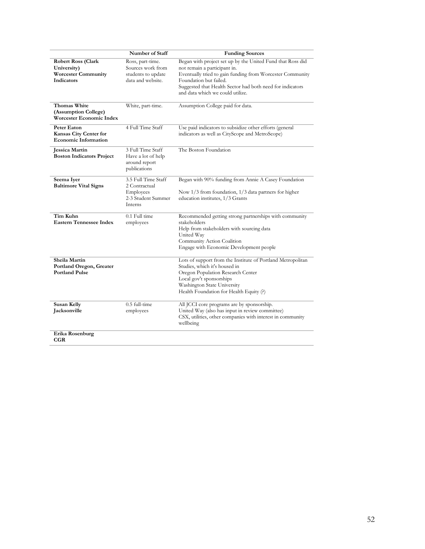|                                                                                      | Number of Staff                                                                    | <b>Funding Sources</b>                                                                                                                                                                                                                                                             |
|--------------------------------------------------------------------------------------|------------------------------------------------------------------------------------|------------------------------------------------------------------------------------------------------------------------------------------------------------------------------------------------------------------------------------------------------------------------------------|
| <b>Robert Ross (Clark</b><br>University)<br><b>Worcester Community</b><br>Indicators | Ross, part-time.<br>Sources work from<br>students to update<br>data and website.   | Began with project set up by the United Fund that Ross did<br>not remain a participant in.<br>Eventually tried to gain funding from Worcester Community<br>Foundation but failed.<br>Suggested that Health Sector had both need for indicators<br>and data which we could utilize. |
| Thomas White<br>(Assumption College)<br>Worcester Economic Index                     | White, part-time.                                                                  | Assumption College paid for data.                                                                                                                                                                                                                                                  |
| <b>Peter Eaton</b><br>Kansas City Center for<br><b>Economic Information</b>          | 4 Full Time Staff                                                                  | Use paid indicators to subsidize other efforts (general<br>indicators as well as CityScope and MetroScope)                                                                                                                                                                         |
| Jessica Martin<br><b>Boston Indicators Project</b>                                   | 3 Full Time Staff<br>Have a lot of help<br>around report<br>publications           | The Boston Foundation                                                                                                                                                                                                                                                              |
| Seema Iyer<br><b>Baltimore Vital Signs</b>                                           | 3.5 Full Time Staff<br>2 Contractual<br>Employees<br>2-3 Student Summer<br>Interns | Began with 90% funding from Annie A Casey Foundation<br>Now $1/3$ from foundation, $1/3$ data partners for higher<br>education institutes, 1/3 Grants                                                                                                                              |
| Tim Kuhn<br><b>Eastern Tennessee Index</b>                                           | 0.1 Full time<br>employees                                                         | Recommended getting strong partnerships with community<br>stakeholders<br>Help from stakeholders with sourcing data<br>United Way<br>Community Action Coalition<br>Engage with Economic Development people                                                                         |
| Sheila Martin<br>Portland Oregon, Greater<br><b>Portland Pulse</b>                   |                                                                                    | Lots of support from the Institute of Portland Metropolitan<br>Studies, which it's housed in<br>Oregon Population Research Center<br>Local gov't sponsorships<br>Washington State University<br>Health Foundation for Health Equity (?)                                            |
| <b>Susan Kelly</b><br>Jacksonville                                                   | $0.5$ full-time<br>employees                                                       | All JCCI core programs are by sponsorship.<br>United Way (also has input in review committee)<br>CSX, utilities, other companies with interest in community<br>wellbeing                                                                                                           |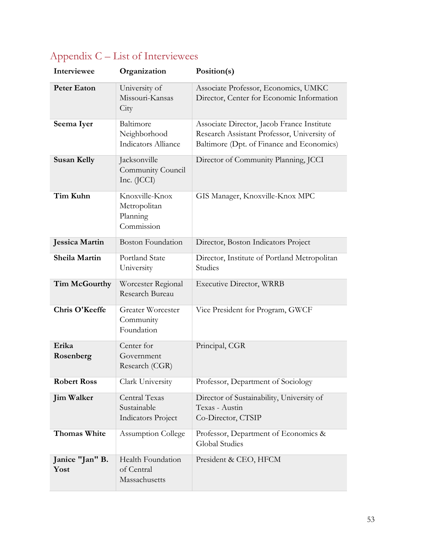| Interviewee             | Organization                                              | Position(s)                                                                                                                            |
|-------------------------|-----------------------------------------------------------|----------------------------------------------------------------------------------------------------------------------------------------|
| <b>Peter Eaton</b>      | University of<br>Missouri-Kansas<br>City                  | Associate Professor, Economics, UMKC<br>Director, Center for Economic Information                                                      |
| Seema Iyer              | Baltimore<br>Neighborhood<br><b>Indicators Alliance</b>   | Associate Director, Jacob France Institute<br>Research Assistant Professor, University of<br>Baltimore (Dpt. of Finance and Economics) |
| <b>Susan Kelly</b>      | Jacksonville<br>Community Council<br>Inc. (JCCI)          | Director of Community Planning, JCCI                                                                                                   |
| Tim Kuhn                | Knoxville-Knox<br>Metropolitan<br>Planning<br>Commission  | GIS Manager, Knoxville-Knox MPC                                                                                                        |
| <b>Jessica Martin</b>   | <b>Boston Foundation</b>                                  | Director, Boston Indicators Project                                                                                                    |
| Sheila Martin           | <b>Portland State</b><br>University                       | Director, Institute of Portland Metropolitan<br>Studies                                                                                |
| Tim McGourthy           | Worcester Regional<br>Research Bureau                     | <b>Executive Director, WRRB</b>                                                                                                        |
| Chris O'Keeffe          | <b>Greater Worcester</b><br>Community<br>Foundation       | Vice President for Program, GWCF                                                                                                       |
| Erika<br>Rosenberg      | Center for<br>Government<br>Research (CGR)                | Principal, CGR                                                                                                                         |
| <b>Robert Ross</b>      | Clark University                                          | Professor, Department of Sociology                                                                                                     |
| <b>Jim Walker</b>       | Central Texas<br>Sustainable<br><b>Indicators Project</b> | Director of Sustainability, University of<br>Texas - Austin<br>Co-Director, CTSIP                                                      |
| Thomas White            | <b>Assumption College</b>                                 | Professor, Department of Economics &<br><b>Global Studies</b>                                                                          |
| Janice "Jan" B.<br>Yost | Health Foundation<br>of Central<br>Massachusetts          | President & CEO, HFCM                                                                                                                  |

# <span id="page-63-0"></span>Appendix C – List of Interviewees